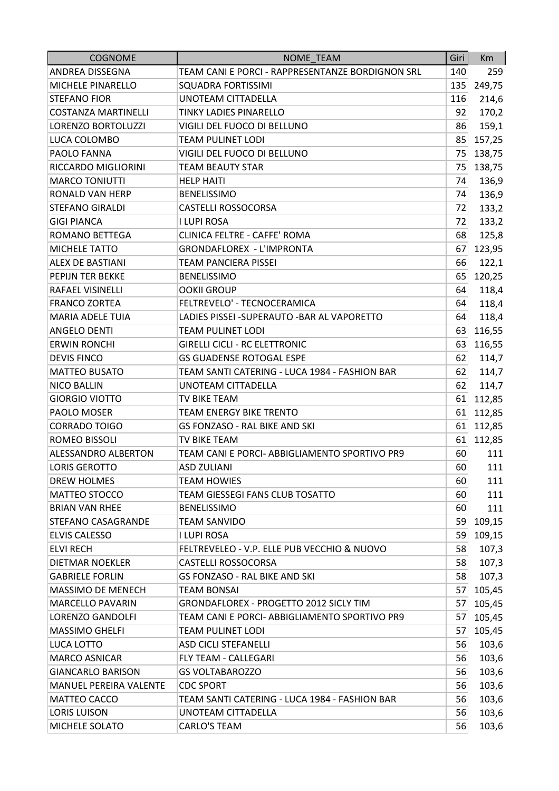| <b>COGNOME</b>             | NOME_TEAM                                        | Giri | Km     |
|----------------------------|--------------------------------------------------|------|--------|
| ANDREA DISSEGNA            | TEAM CANI E PORCI - RAPPRESENTANZE BORDIGNON SRL | 140  | 259    |
| MICHELE PINARELLO          | <b>SQUADRA FORTISSIMI</b>                        | 135  | 249,75 |
| <b>STEFANO FIOR</b>        | <b>UNOTEAM CITTADELLA</b>                        | 116  | 214,6  |
| <b>COSTANZA MARTINELLI</b> | <b>TINKY LADIES PINARELLO</b>                    | 92   | 170,2  |
| LORENZO BORTOLUZZI         | VIGILI DEL FUOCO DI BELLUNO                      | 86   | 159,1  |
| LUCA COLOMBO               | <b>TEAM PULINET LODI</b>                         | 85   | 157,25 |
| PAOLO FANNA                | VIGILI DEL FUOCO DI BELLUNO                      | 75   | 138,75 |
| RICCARDO MIGLIORINI        | <b>TEAM BEAUTY STAR</b>                          | 75   | 138,75 |
| <b>MARCO TONIUTTI</b>      | <b>HELP HAITI</b>                                | 74   | 136,9  |
| <b>RONALD VAN HERP</b>     | <b>BENELISSIMO</b>                               | 74   | 136,9  |
| <b>STEFANO GIRALDI</b>     | <b>CASTELLI ROSSOCORSA</b>                       | 72   | 133,2  |
| <b>GIGI PIANCA</b>         | <b>I LUPI ROSA</b>                               | 72   | 133,2  |
| ROMANO BETTEGA             | <b>CLINICA FELTRE - CAFFE' ROMA</b>              | 68   | 125,8  |
| MICHELE TATTO              | <b>GRONDAFLOREX - L'IMPRONTA</b>                 | 67   | 123,95 |
| <b>ALEX DE BASTIANI</b>    | <b>TEAM PANCIERA PISSEI</b>                      | 66   | 122,1  |
| PEPIJN TER BEKKE           | <b>BENELISSIMO</b>                               | 65   | 120,25 |
| RAFAEL VISINELLI           | <b>OOKII GROUP</b>                               | 64   | 118,4  |
| <b>FRANCO ZORTEA</b>       | FELTREVELO' - TECNOCERAMICA                      | 64   | 118,4  |
| <b>MARIA ADELE TUIA</b>    | LADIES PISSEI - SUPERAUTO - BAR AL VAPORETTO     | 64   | 118,4  |
| <b>ANGELO DENTI</b>        | <b>TEAM PULINET LODI</b>                         | 63   | 116,55 |
| <b>ERWIN RONCHI</b>        | <b>GIRELLI CICLI - RC ELETTRONIC</b>             | 63   | 116,55 |
| <b>DEVIS FINCO</b>         | <b>GS GUADENSE ROTOGAL ESPE</b>                  | 62   | 114,7  |
| <b>MATTEO BUSATO</b>       | TEAM SANTI CATERING - LUCA 1984 - FASHION BAR    | 62   | 114,7  |
| <b>NICO BALLIN</b>         | UNOTEAM CITTADELLA                               | 62   | 114,7  |
| <b>GIORGIO VIOTTO</b>      | TV BIKE TEAM                                     | 61   | 112,85 |
| PAOLO MOSER                | <b>TEAM ENERGY BIKE TRENTO</b>                   | 61   | 112,85 |
| <b>CORRADO TOIGO</b>       | GS FONZASO - RAL BIKE AND SKI                    | 61   | 112,85 |
| ROMEO BISSOLI              | TV BIKE TEAM                                     | 61   | 112,85 |
| ALESSANDRO ALBERTON        | TEAM CANI E PORCI- ABBIGLIAMENTO SPORTIVO PR9    | 60   | 111    |
| <b>LORIS GEROTTO</b>       | <b>ASD ZULIANI</b>                               | 60   | 111    |
| DREW HOLMES                | <b>TEAM HOWIES</b>                               | 60   | 111    |
| <b>MATTEO STOCCO</b>       | TEAM GIESSEGI FANS CLUB TOSATTO                  | 60   | 111    |
| <b>BRIAN VAN RHEE</b>      | <b>BENELISSIMO</b>                               | 60   | 111    |
| STEFANO CASAGRANDE         | <b>TEAM SANVIDO</b>                              | 59   | 109,15 |
| <b>ELVIS CALESSO</b>       | I LUPI ROSA                                      | 59   | 109,15 |
| <b>ELVI RECH</b>           | FELTREVELEO - V.P. ELLE PUB VECCHIO & NUOVO      | 58   | 107,3  |
| DIETMAR NOEKLER            | <b>CASTELLI ROSSOCORSA</b>                       | 58   | 107,3  |
| <b>GABRIELE FORLIN</b>     | <b>GS FONZASO - RAL BIKE AND SKI</b>             | 58   | 107,3  |
| MASSIMO DE MENECH          | <b>TEAM BONSAI</b>                               | 57   | 105,45 |
| <b>MARCELLO PAVARIN</b>    | GRONDAFLOREX - PROGETTO 2012 SICLY TIM           | 57   | 105,45 |
| LORENZO GANDOLFI           | TEAM CANI E PORCI- ABBIGLIAMENTO SPORTIVO PR9    | 57   | 105,45 |
| MASSIMO GHELFI             | TEAM PULINET LODI                                | 57   | 105,45 |
| LUCA LOTTO                 | <b>ASD CICLI STEFANELLI</b>                      | 56   | 103,6  |
| <b>MARCO ASNICAR</b>       | FLY TEAM - CALLEGARI                             | 56   | 103,6  |
| <b>GIANCARLO BARISON</b>   | <b>GS VOLTABAROZZO</b>                           | 56   | 103,6  |
| MANUEL PEREIRA VALENTE     | <b>CDC SPORT</b>                                 | 56   | 103,6  |
| MATTEO CACCO               | TEAM SANTI CATERING - LUCA 1984 - FASHION BAR    | 56   | 103,6  |
| <b>LORIS LUISON</b>        | UNOTEAM CITTADELLA                               | 56   | 103,6  |
| MICHELE SOLATO             | CARLO'S TEAM                                     | 56   | 103,6  |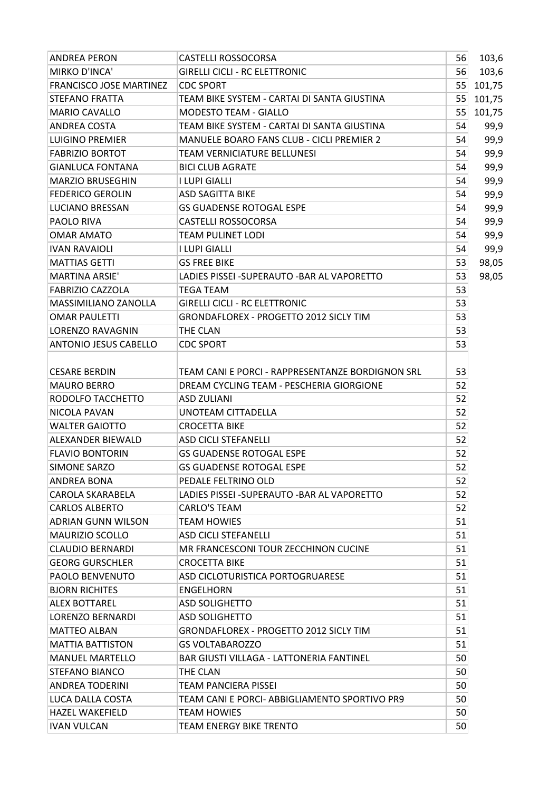| <b>ANDREA PERON</b>            | <b>CASTELLI ROSSOCORSA</b>                       | 56 | 103,6  |
|--------------------------------|--------------------------------------------------|----|--------|
| MIRKO D'INCA'                  | <b>GIRELLI CICLI - RC ELETTRONIC</b>             | 56 | 103,6  |
| <b>FRANCISCO JOSE MARTINEZ</b> | <b>CDC SPORT</b>                                 | 55 | 101,75 |
| <b>STEFANO FRATTA</b>          | TEAM BIKE SYSTEM - CARTAI DI SANTA GIUSTINA      | 55 | 101,75 |
| <b>MARIO CAVALLO</b>           | <b>MODESTO TEAM - GIALLO</b>                     | 55 | 101,75 |
| ANDREA COSTA                   | TEAM BIKE SYSTEM - CARTAI DI SANTA GIUSTINA      | 54 | 99,9   |
| <b>LUIGINO PREMIER</b>         | MANUELE BOARO FANS CLUB - CICLI PREMIER 2        | 54 | 99,9   |
| <b>FABRIZIO BORTOT</b>         | <b>TEAM VERNICIATURE BELLUNESI</b>               | 54 | 99,9   |
| <b>GIANLUCA FONTANA</b>        | <b>BICI CLUB AGRATE</b>                          | 54 | 99,9   |
| <b>MARZIO BRUSEGHIN</b>        | I LUPI GIALLI                                    | 54 | 99,9   |
| <b>FEDERICO GEROLIN</b>        | <b>ASD SAGITTA BIKE</b>                          | 54 | 99,9   |
| <b>LUCIANO BRESSAN</b>         | <b>GS GUADENSE ROTOGAL ESPE</b>                  | 54 | 99,9   |
| PAOLO RIVA                     | <b>CASTELLI ROSSOCORSA</b>                       | 54 | 99,9   |
| <b>OMAR AMATO</b>              | <b>TEAM PULINET LODI</b>                         | 54 | 99,9   |
| <b>IVAN RAVAIOLI</b>           | <b>I LUPI GIALLI</b>                             | 54 | 99,9   |
| <b>MATTIAS GETTI</b>           | <b>GS FREE BIKE</b>                              | 53 | 98,05  |
| <b>MARTINA ARSIE'</b>          | LADIES PISSEI - SUPERAUTO - BAR AL VAPORETTO     | 53 | 98,05  |
| <b>FABRIZIO CAZZOLA</b>        | <b>TEGA TEAM</b>                                 | 53 |        |
| MASSIMILIANO ZANOLLA           | <b>GIRELLI CICLI - RC ELETTRONIC</b>             | 53 |        |
| <b>OMAR PAULETTI</b>           | GRONDAFLOREX - PROGETTO 2012 SICLY TIM           | 53 |        |
| LORENZO RAVAGNIN               | THE CLAN                                         | 53 |        |
| <b>ANTONIO JESUS CABELLO</b>   | <b>CDC SPORT</b>                                 | 53 |        |
|                                |                                                  |    |        |
| <b>CESARE BERDIN</b>           | TEAM CANI E PORCI - RAPPRESENTANZE BORDIGNON SRL | 53 |        |
| <b>MAURO BERRO</b>             | DREAM CYCLING TEAM - PESCHERIA GIORGIONE         | 52 |        |
| RODOLFO TACCHETTO              | <b>ASD ZULIANI</b>                               | 52 |        |
| NICOLA PAVAN                   | UNOTEAM CITTADELLA                               | 52 |        |
| <b>WALTER GAIOTTO</b>          | <b>CROCETTA BIKE</b>                             | 52 |        |
| <b>ALEXANDER BIEWALD</b>       | <b>ASD CICLI STEFANELLI</b>                      | 52 |        |
| <b>FLAVIO BONTORIN</b>         | <b>GS GUADENSE ROTOGAL ESPE</b>                  | 52 |        |
| <b>SIMONE SARZO</b>            | <b>GS GUADENSE ROTOGAL ESPE</b>                  | 52 |        |
| <b>ANDREA BONA</b>             | PEDALE FELTRINO OLD                              | 52 |        |
| <b>CAROLA SKARABELA</b>        | LADIES PISSEI - SUPERAUTO - BAR AL VAPORETTO     | 52 |        |
| <b>CARLOS ALBERTO</b>          | CARLO'S TEAM                                     | 52 |        |
| <b>ADRIAN GUNN WILSON</b>      | <b>TEAM HOWIES</b>                               | 51 |        |
| <b>MAURIZIO SCOLLO</b>         | <b>ASD CICLI STEFANELLI</b>                      | 51 |        |
| CLAUDIO BERNARDI               | MR FRANCESCONI TOUR ZECCHINON CUCINE             | 51 |        |
| <b>GEORG GURSCHLER</b>         | <b>CROCETTA BIKE</b>                             | 51 |        |
| <b>PAOLO BENVENUTO</b>         | ASD CICLOTURISTICA PORTOGRUARESE                 | 51 |        |
| <b>BJORN RICHITES</b>          | <b>ENGELHORN</b>                                 | 51 |        |
| <b>ALEX BOTTAREL</b>           | <b>ASD SOLIGHETTO</b>                            | 51 |        |
| LORENZO BERNARDI               | <b>ASD SOLIGHETTO</b>                            | 51 |        |
| <b>MATTEO ALBAN</b>            | <b>GRONDAFLOREX - PROGETTO 2012 SICLY TIM</b>    | 51 |        |
| <b>MATTIA BATTISTON</b>        | <b>GS VOLTABAROZZO</b>                           | 51 |        |
| <b>MANUEL MARTELLO</b>         | <b>BAR GIUSTI VILLAGA - LATTONERIA FANTINEL</b>  | 50 |        |
| <b>STEFANO BIANCO</b>          | THE CLAN                                         | 50 |        |
| <b>ANDREA TODERINI</b>         | TEAM PANCIERA PISSEI                             | 50 |        |
| LUCA DALLA COSTA               | TEAM CANI E PORCI- ABBIGLIAMENTO SPORTIVO PR9    | 50 |        |
| <b>HAZEL WAKEFIELD</b>         | <b>TEAM HOWIES</b>                               | 50 |        |
| <b>IVAN VULCAN</b>             | <b>TEAM ENERGY BIKE TRENTO</b>                   | 50 |        |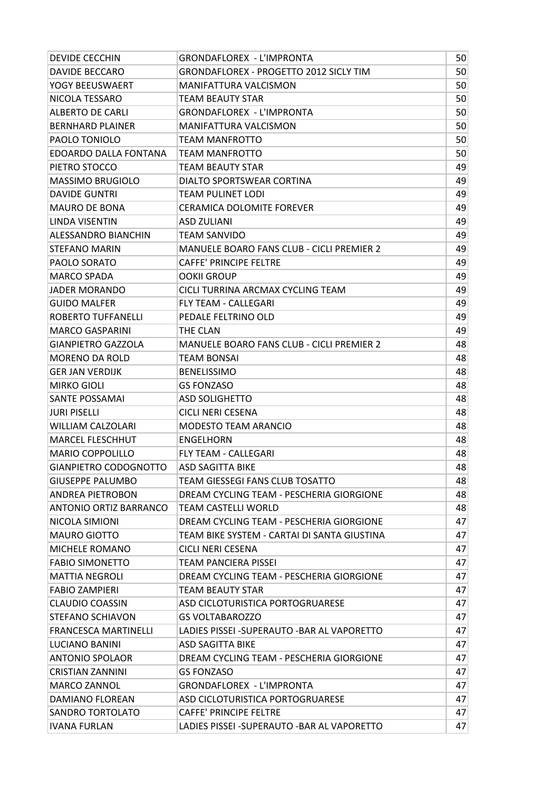| <b>DEVIDE CECCHIN</b>         | <b>GRONDAFLOREX - L'IMPRONTA</b>                 | 50 |
|-------------------------------|--------------------------------------------------|----|
| <b>DAVIDE BECCARO</b>         | <b>GRONDAFLOREX - PROGETTO 2012 SICLY TIM</b>    | 50 |
| YOGY BEEUSWAERT               | <b>MANIFATTURA VALCISMON</b>                     | 50 |
| NICOLA TESSARO                | TEAM BEAUTY STAR                                 | 50 |
| <b>ALBERTO DE CARLI</b>       | <b>GRONDAFLOREX - L'IMPRONTA</b>                 | 50 |
| <b>BERNHARD PLAINER</b>       | <b>MANIFATTURA VALCISMON</b>                     | 50 |
| PAOLO TONIOLO                 | TEAM MANFROTTO                                   | 50 |
| <b>EDOARDO DALLA FONTANA</b>  | TEAM MANFROTTO                                   | 50 |
| PIETRO STOCCO                 | <b>TEAM BEAUTY STAR</b>                          | 49 |
| <b>MASSIMO BRUGIOLO</b>       | DIALTO SPORTSWEAR CORTINA                        | 49 |
| <b>DAVIDE GUNTRI</b>          | TEAM PULINET LODI                                | 49 |
| <b>MAURO DE BONA</b>          | <b>CERAMICA DOLOMITE FOREVER</b>                 | 49 |
| LINDA VISENTIN                | ASD ZULIANI                                      | 49 |
| <b>ALESSANDRO BIANCHIN</b>    | TEAM SANVIDO                                     | 49 |
| <b>STEFANO MARIN</b>          | <b>MANUELE BOARO FANS CLUB - CICLI PREMIER 2</b> | 49 |
| PAOLO SORATO                  | <b>CAFFE' PRINCIPE FELTRE</b>                    | 49 |
| <b>MARCO SPADA</b>            | <b>OOKII GROUP</b>                               | 49 |
| <b>JADER MORANDO</b>          | CICLI TURRINA ARCMAX CYCLING TEAM                | 49 |
| <b>GUIDO MALFER</b>           | <b>FLY TEAM - CALLEGARI</b>                      | 49 |
| ROBERTO TUFFANELLI            | PEDALE FELTRINO OLD                              | 49 |
| <b>MARCO GASPARINI</b>        | THE CLAN                                         | 49 |
| <b>GIANPIETRO GAZZOLA</b>     | <b>MANUELE BOARO FANS CLUB - CICLI PREMIER 2</b> | 48 |
| <b>MORENO DA ROLD</b>         | TEAM BONSAI                                      | 48 |
| <b>GER JAN VERDIJK</b>        | <b>BENELISSIMO</b>                               | 48 |
| <b>MIRKO GIOLI</b>            | <b>GS FONZASO</b>                                | 48 |
| <b>SANTE POSSAMAI</b>         | <b>ASD SOLIGHETTO</b>                            | 48 |
| <b>JURI PISELLI</b>           | <b>CICLI NERI CESENA</b>                         | 48 |
| <b>WILLIAM CALZOLARI</b>      | <b>MODESTO TEAM ARANCIO</b>                      | 48 |
| <b>MARCEL FLESCHHUT</b>       | <b>ENGELHORN</b>                                 | 48 |
| <b>MARIO COPPOLILLO</b>       | <b>FLY TEAM - CALLEGARI</b>                      | 48 |
| <b>GIANPIETRO CODOGNOTTO</b>  | <b>ASD SAGITTA BIKE</b>                          | 48 |
| <b>GIUSEPPE PALUMBO</b>       | TEAM GIESSEGI FANS CLUB TOSATTO                  | 48 |
| <b>ANDREA PIETROBON</b>       | DREAM CYCLING TEAM - PESCHERIA GIORGIONE         | 48 |
| <b>ANTONIO ORTIZ BARRANCO</b> | <b>TEAM CASTELLI WORLD</b>                       | 48 |
| NICOLA SIMIONI                | DREAM CYCLING TEAM - PESCHERIA GIORGIONE         | 47 |
| <b>MAURO GIOTTO</b>           | TEAM BIKE SYSTEM - CARTAI DI SANTA GIUSTINA      | 47 |
| MICHELE ROMANO                | CICLI NERI CESENA                                | 47 |
| <b>FABIO SIMONETTO</b>        | <b>TEAM PANCIERA PISSEI</b>                      | 47 |
| <b>MATTIA NEGROLI</b>         | DREAM CYCLING TEAM - PESCHERIA GIORGIONE         | 47 |
| <b>FABIO ZAMPIERI</b>         | <b>TEAM BEAUTY STAR</b>                          | 47 |
| <b>CLAUDIO COASSIN</b>        | ASD CICLOTURISTICA PORTOGRUARESE                 | 47 |
| <b>STEFANO SCHIAVON</b>       | <b>GS VOLTABAROZZO</b>                           | 47 |
| <b>FRANCESCA MARTINELLI</b>   | LADIES PISSEI -SUPERAUTO -BAR AL VAPORETTO       | 47 |
| LUCIANO BANINI                | ASD SAGITTA BIKE                                 | 47 |
| <b>ANTONIO SPOLAOR</b>        | DREAM CYCLING TEAM - PESCHERIA GIORGIONE         | 47 |
| <b>CRISTIAN ZANNINI</b>       | <b>GS FONZASO</b>                                | 47 |
| MARCO ZANNOL                  | <b>GRONDAFLOREX - L'IMPRONTA</b>                 | 47 |
| DAMIANO FLOREAN               | ASD CICLOTURISTICA PORTOGRUARESE                 | 47 |
| <b>SANDRO TORTOLATO</b>       | <b>CAFFE' PRINCIPE FELTRE</b>                    | 47 |
| <b>IVANA FURLAN</b>           | LADIES PISSEI - SUPERAUTO - BAR AL VAPORETTO     | 47 |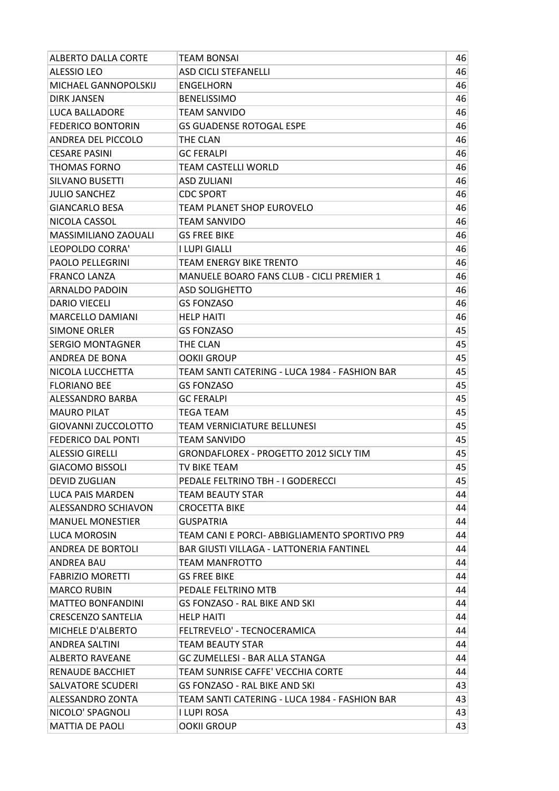| ALBERTO DALLA CORTE        | TEAM BONSAI                                      | 46 |
|----------------------------|--------------------------------------------------|----|
| <b>ALESSIO LEO</b>         | <b>ASD CICLI STEFANELLI</b>                      | 46 |
| MICHAEL GANNOPOLSKIJ       | <b>ENGELHORN</b>                                 | 46 |
| <b>DIRK JANSEN</b>         | <b>BENELISSIMO</b>                               | 46 |
| <b>LUCA BALLADORE</b>      | <b>TEAM SANVIDO</b>                              | 46 |
| <b>FEDERICO BONTORIN</b>   | <b>GS GUADENSE ROTOGAL ESPE</b>                  | 46 |
| ANDREA DEL PICCOLO         | THE CLAN                                         | 46 |
| <b>CESARE PASINI</b>       | <b>GC FERALPI</b>                                | 46 |
| <b>THOMAS FORNO</b>        | TEAM CASTELLI WORLD                              | 46 |
| <b>SILVANO BUSETTI</b>     | <b>ASD ZULIANI</b>                               | 46 |
| <b>JULIO SANCHEZ</b>       | <b>CDC SPORT</b>                                 | 46 |
| <b>GIANCARLO BESA</b>      | TEAM PLANET SHOP EUROVELO                        | 46 |
| NICOLA CASSOL              | TEAM SANVIDO                                     | 46 |
| MASSIMILIANO ZAOUALI       | <b>GS FREE BIKE</b>                              | 46 |
| LEOPOLDO CORRA'            | I LUPI GIALLI                                    | 46 |
| PAOLO PELLEGRINI           | <b>TEAM ENERGY BIKE TRENTO</b>                   | 46 |
| <b>FRANCO LANZA</b>        | <b>MANUELE BOARO FANS CLUB - CICLI PREMIER 1</b> | 46 |
| <b>ARNALDO PADOIN</b>      | <b>ASD SOLIGHETTO</b>                            | 46 |
| <b>DARIO VIECELI</b>       | <b>GS FONZASO</b>                                | 46 |
| MARCELLO DAMIANI           | <b>HELP HAITI</b>                                | 46 |
| <b>SIMONE ORLER</b>        | <b>GS FONZASO</b>                                | 45 |
| <b>SERGIO MONTAGNER</b>    | THE CLAN                                         | 45 |
| ANDREA DE BONA             | <b>OOKII GROUP</b>                               | 45 |
| NICOLA LUCCHETTA           | TEAM SANTI CATERING - LUCA 1984 - FASHION BAR    | 45 |
| <b>FLORIANO BEE</b>        | <b>GS FONZASO</b>                                | 45 |
| ALESSANDRO BARBA           | <b>GC FERALPI</b>                                | 45 |
| <b>MAURO PILAT</b>         | <b>TEGA TEAM</b>                                 | 45 |
| <b>GIOVANNI ZUCCOLOTTO</b> | TEAM VERNICIATURE BELLUNESI                      | 45 |
| <b>FEDERICO DAL PONTI</b>  | TEAM SANVIDO                                     | 45 |
| <b>ALESSIO GIRELLI</b>     | GRONDAFLOREX - PROGETTO 2012 SICLY TIM           | 45 |
| <b>GIACOMO BISSOLI</b>     | TV BIKE TEAM                                     | 45 |
| <b>DEVID ZUGLIAN</b>       | PEDALE FELTRINO TBH - I GODERECCI                | 45 |
| <b>LUCA PAIS MARDEN</b>    | <b>TEAM BEAUTY STAR</b>                          | 44 |
| ALESSANDRO SCHIAVON        | <b>CROCETTA BIKE</b>                             | 44 |
| <b>MANUEL MONESTIER</b>    | <b>GUSPATRIA</b>                                 | 44 |
| LUCA MOROSIN               | TEAM CANI E PORCI- ABBIGLIAMENTO SPORTIVO PR9    | 44 |
| <b>ANDREA DE BORTOLI</b>   | <b>BAR GIUSTI VILLAGA - LATTONERIA FANTINEL</b>  | 44 |
| <b>ANDREA BAU</b>          | <b>TEAM MANFROTTO</b>                            | 44 |
| <b>FABRIZIO MORETTI</b>    | <b>GS FREE BIKE</b>                              | 44 |
| <b>MARCO RUBIN</b>         | PEDALE FELTRINO MTB                              | 44 |
| <b>MATTEO BONFANDINI</b>   | <b>GS FONZASO - RAL BIKE AND SKI</b>             | 44 |
| <b>CRESCENZO SANTELIA</b>  | <b>HELP HAITI</b>                                | 44 |
| MICHELE D'ALBERTO          | FELTREVELO' - TECNOCERAMICA                      | 44 |
| <b>ANDREA SALTINI</b>      | TEAM BEAUTY STAR                                 | 44 |
| <b>ALBERTO RAVEANE</b>     | <b>GC ZUMELLESI - BAR ALLA STANGA</b>            | 44 |
| <b>RENAUDE BACCHIET</b>    | TEAM SUNRISE CAFFE' VECCHIA CORTE                | 44 |
| <b>SALVATORE SCUDERI</b>   | <b>GS FONZASO - RAL BIKE AND SKI</b>             | 43 |
| ALESSANDRO ZONTA           | TEAM SANTI CATERING - LUCA 1984 - FASHION BAR    | 43 |
| NICOLO' SPAGNOLI           | I LUPI ROSA                                      | 43 |
| <b>MATTIA DE PAOLI</b>     | <b>OOKII GROUP</b>                               | 43 |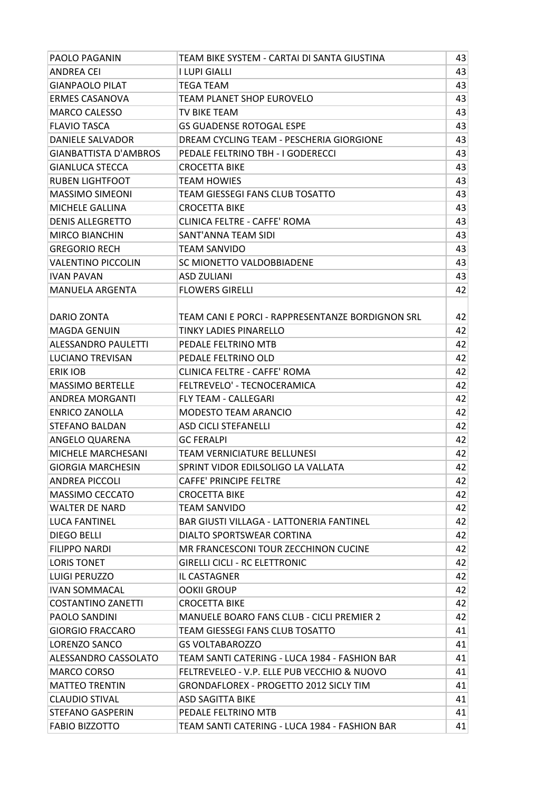| <b>PAOLO PAGANIN</b>         | TEAM BIKE SYSTEM - CARTAI DI SANTA GIUSTINA      | 43 |
|------------------------------|--------------------------------------------------|----|
| ANDREA CEI                   | I LUPI GIALLI                                    | 43 |
| <b>GIANPAOLO PILAT</b>       | <b>TEGA TEAM</b>                                 | 43 |
| <b>ERMES CASANOVA</b>        | TEAM PLANET SHOP EUROVELO                        | 43 |
| <b>MARCO CALESSO</b>         | TV BIKE TEAM                                     | 43 |
| <b>FLAVIO TASCA</b>          | <b>GS GUADENSE ROTOGAL ESPE</b>                  | 43 |
| <b>DANIELE SALVADOR</b>      | DREAM CYCLING TEAM - PESCHERIA GIORGIONE         | 43 |
| <b>GIANBATTISTA D'AMBROS</b> | PEDALE FELTRINO TBH - I GODERECCI                | 43 |
| <b>GIANLUCA STECCA</b>       | <b>CROCETTA BIKE</b>                             | 43 |
| <b>RUBEN LIGHTFOOT</b>       | <b>TEAM HOWIES</b>                               | 43 |
| <b>MASSIMO SIMEONI</b>       | TEAM GIESSEGI FANS CLUB TOSATTO                  | 43 |
| MICHELE GALLINA              | <b>CROCETTA BIKE</b>                             | 43 |
| <b>DENIS ALLEGRETTO</b>      | <b>CLINICA FELTRE - CAFFE' ROMA</b>              | 43 |
| <b>MIRCO BIANCHIN</b>        | SANT'ANNA TEAM SIDI                              | 43 |
| <b>GREGORIO RECH</b>         | TEAM SANVIDO                                     | 43 |
| <b>VALENTINO PICCOLIN</b>    | SC MIONETTO VALDOBBIADENE                        | 43 |
| <b>IVAN PAVAN</b>            | <b>ASD ZULIANI</b>                               | 43 |
| <b>MANUELA ARGENTA</b>       | <b>FLOWERS GIRELLI</b>                           | 42 |
|                              |                                                  |    |
| DARIO ZONTA                  | TEAM CANI E PORCI - RAPPRESENTANZE BORDIGNON SRL | 42 |
| <b>MAGDA GENUIN</b>          | TINKY LADIES PINARELLO                           | 42 |
| <b>ALESSANDRO PAULETTI</b>   | PEDALE FELTRINO MTB                              | 42 |
| <b>LUCIANO TREVISAN</b>      | PEDALE FELTRINO OLD                              | 42 |
| <b>ERIK IOB</b>              | <b>CLINICA FELTRE - CAFFE' ROMA</b>              | 42 |
| <b>MASSIMO BERTELLE</b>      | FELTREVELO' - TECNOCERAMICA                      | 42 |
| <b>ANDREA MORGANTI</b>       | <b>FLY TEAM - CALLEGARI</b>                      | 42 |
| <b>ENRICO ZANOLLA</b>        | <b>MODESTO TEAM ARANCIO</b>                      | 42 |
| <b>STEFANO BALDAN</b>        | <b>ASD CICLI STEFANELLI</b>                      | 42 |
| ANGELO QUARENA               | <b>GC FFRALPI</b>                                | 42 |
| MICHELE MARCHESANI           | TEAM VERNICIATURE BELLUNESI                      | 42 |
| <b>GIORGIA MARCHESIN</b>     | SPRINT VIDOR EDILSOLIGO LA VALLATA               | 42 |
| <b>ANDREA PICCOLI</b>        | <b>CAFFE' PRINCIPE FELTRE</b>                    | 42 |
| <b>MASSIMO CECCATO</b>       | <b>CROCETTA BIKE</b>                             | 42 |
| <b>WALTER DE NARD</b>        | TEAM SANVIDO                                     | 42 |
| <b>LUCA FANTINEL</b>         | <b>BAR GIUSTI VILLAGA - LATTONERIA FANTINEL</b>  | 42 |
| <b>DIEGO BELLI</b>           | DIALTO SPORTSWEAR CORTINA                        | 42 |
| <b>FILIPPO NARDI</b>         | MR FRANCESCONI TOUR ZECCHINON CUCINE             | 42 |
| <b>LORIS TONET</b>           | <b>GIRELLI CICLI - RC ELETTRONIC</b>             | 42 |
| <b>LUIGI PERUZZO</b>         | IL CASTAGNER                                     | 42 |
| <b>IVAN SOMMACAL</b>         | <b>OOKII GROUP</b>                               | 42 |
| <b>COSTANTINO ZANETTI</b>    | <b>CROCETTA BIKE</b>                             | 42 |
| <b>PAOLO SANDINI</b>         | <b>MANUELE BOARO FANS CLUB - CICLI PREMIER 2</b> | 42 |
| <b>GIORGIO FRACCARO</b>      | TEAM GIESSEGI FANS CLUB TOSATTO                  | 41 |
| LORENZO SANCO                | <b>GS VOLTABAROZZO</b>                           | 41 |
| ALESSANDRO CASSOLATO         | TEAM SANTI CATERING - LUCA 1984 - FASHION BAR    | 41 |
| <b>MARCO CORSO</b>           | FELTREVELEO - V.P. ELLE PUB VECCHIO & NUOVO      | 41 |
| <b>MATTEO TRENTIN</b>        | GRONDAFLOREX - PROGETTO 2012 SICLY TIM           | 41 |
| <b>CLAUDIO STIVAL</b>        | ASD SAGITTA BIKE                                 | 41 |
| <b>STEFANO GASPERIN</b>      | PEDALE FELTRINO MTB                              | 41 |
| <b>FABIO BIZZOTTO</b>        | TEAM SANTI CATERING - LUCA 1984 - FASHION BAR    | 41 |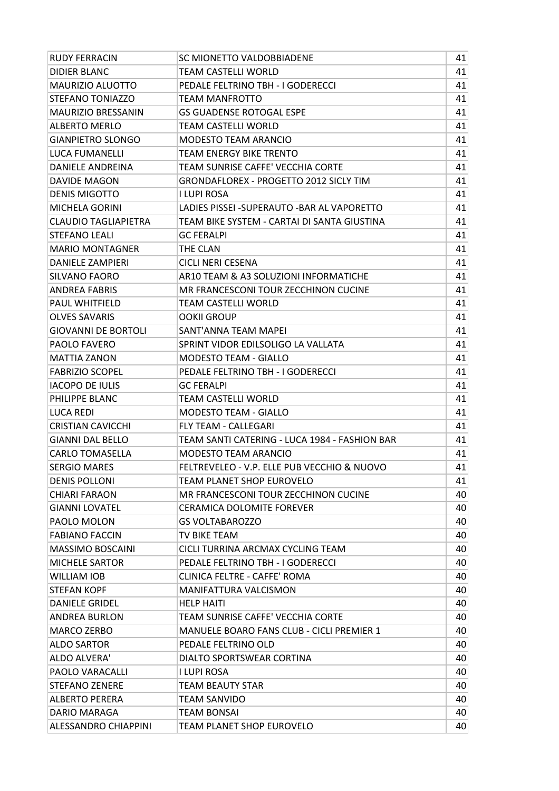| RUDY FERRACIN               | SC MIONETTO VALDOBBIADENE                        | 41 |
|-----------------------------|--------------------------------------------------|----|
| <b>DIDIER BLANC</b>         | TEAM CASTELLI WORLD                              | 41 |
| MAURIZIO ALUOTTO            | PEDALE FELTRINO TBH - I GODERECCI                | 41 |
| STEFANO TONIAZZO            | TEAM MANFROTTO                                   | 41 |
| <b>MAURIZIO BRESSANIN</b>   | <b>GS GUADENSE ROTOGAL ESPE</b>                  | 41 |
| <b>ALBERTO MERLO</b>        | TEAM CASTELLI WORLD                              | 41 |
| <b>GIANPIETRO SLONGO</b>    | <b>MODESTO TEAM ARANCIO</b>                      | 41 |
| <b>LUCA FUMANELLI</b>       | TEAM ENERGY BIKE TRENTO                          | 41 |
| <b>DANIELE ANDREINA</b>     | TEAM SUNRISE CAFFE' VECCHIA CORTE                | 41 |
| <b>DAVIDE MAGON</b>         | <b>GRONDAFLOREX - PROGETTO 2012 SICLY TIM</b>    | 41 |
| <b>DENIS MIGOTTO</b>        | I LUPI ROSA                                      | 41 |
| <b>MICHELA GORINI</b>       | LADIES PISSEI -SUPERAUTO -BAR AL VAPORETTO       | 41 |
| <b>CLAUDIO TAGLIAPIETRA</b> | TEAM BIKE SYSTEM - CARTAI DI SANTA GIUSTINA      | 41 |
| <b>STEFANO LEALI</b>        | <b>GC FERALPI</b>                                | 41 |
| <b>MARIO MONTAGNER</b>      | THE CLAN                                         | 41 |
| <b>DANIELE ZAMPIERI</b>     | <b>CICLI NERI CESENA</b>                         | 41 |
| SILVANO FAORO               | AR10 TEAM & A3 SOLUZIONI INFORMATICHE            | 41 |
| <b>ANDREA FABRIS</b>        | MR FRANCESCONI TOUR ZECCHINON CUCINE             | 41 |
| <b>PAUL WHITFIELD</b>       | TEAM CASTELLI WORLD                              | 41 |
| <b>OLVES SAVARIS</b>        | <b>OOKII GROUP</b>                               | 41 |
| <b>GIOVANNI DE BORTOLI</b>  | SANT'ANNA TEAM MAPEI                             | 41 |
| PAOLO FAVERO                | SPRINT VIDOR EDILSOLIGO LA VALLATA               | 41 |
| <b>MATTIA ZANON</b>         | <b>MODESTO TEAM - GIALLO</b>                     | 41 |
| <b>FABRIZIO SCOPEL</b>      | PEDALE FELTRINO TBH - I GODERECCI                | 41 |
| <b>IACOPO DE IULIS</b>      | <b>GC FERALPI</b>                                | 41 |
| PHILIPPE BLANC              | TEAM CASTELLI WORLD                              | 41 |
| LUCA REDI                   | <b>MODESTO TEAM - GIALLO</b>                     | 41 |
| <b>CRISTIAN CAVICCHI</b>    | <b>FLY TEAM - CALLEGARI</b>                      | 41 |
| <b>GIANNI DAL BELLO</b>     | TEAM SANTI CATERING - LUCA 1984 - FASHION BAR    | 41 |
| <b>CARLO TOMASELLA</b>      | <b>MODESTO TEAM ARANCIO</b>                      | 41 |
| <b>SERGIO MARES</b>         | FELTREVELEO - V.P. ELLE PUB VECCHIO & NUOVO      | 41 |
| <b>DENIS POLLONI</b>        | TEAM PLANET SHOP EUROVELO                        | 41 |
| <b>CHIARI FARAON</b>        | MR FRANCESCONI TOUR ZECCHINON CUCINE             | 40 |
| <b>GIANNI LOVATEL</b>       | <b>CERAMICA DOLOMITE FOREVER</b>                 | 40 |
| PAOLO MOLON                 | <b>GS VOLTABAROZZO</b>                           | 40 |
| <b>FABIANO FACCIN</b>       | TV BIKE TEAM                                     | 40 |
| <b>MASSIMO BOSCAINI</b>     | CICLI TURRINA ARCMAX CYCLING TEAM                | 40 |
| <b>MICHELE SARTOR</b>       | PEDALE FELTRINO TBH - I GODERECCI                | 40 |
| WILLIAM IOB                 | <b>CLINICA FELTRE - CAFFE' ROMA</b>              | 40 |
| <b>STEFAN KOPF</b>          | <b>MANIFATTURA VALCISMON</b>                     | 40 |
| <b>DANIELE GRIDEL</b>       | <b>HELP HAITI</b>                                | 40 |
| <b>ANDREA BURLON</b>        | TEAM SUNRISE CAFFE' VECCHIA CORTE                | 40 |
| <b>MARCO ZERBO</b>          | <b>MANUELE BOARO FANS CLUB - CICLI PREMIER 1</b> | 40 |
| <b>ALDO SARTOR</b>          | PEDALE FELTRINO OLD                              | 40 |
| ALDO ALVERA'                | DIALTO SPORTSWEAR CORTINA                        | 40 |
| <b>PAOLO VARACALLI</b>      | I LUPI ROSA                                      | 40 |
| <b>STEFANO ZENERE</b>       | <b>TEAM BEAUTY STAR</b>                          | 40 |
| <b>ALBERTO PERERA</b>       | TEAM SANVIDO                                     | 40 |
| DARIO MARAGA                | TEAM BONSAI                                      | 40 |
| <b>ALESSANDRO CHIAPPINI</b> | TEAM PLANET SHOP EUROVELO                        | 40 |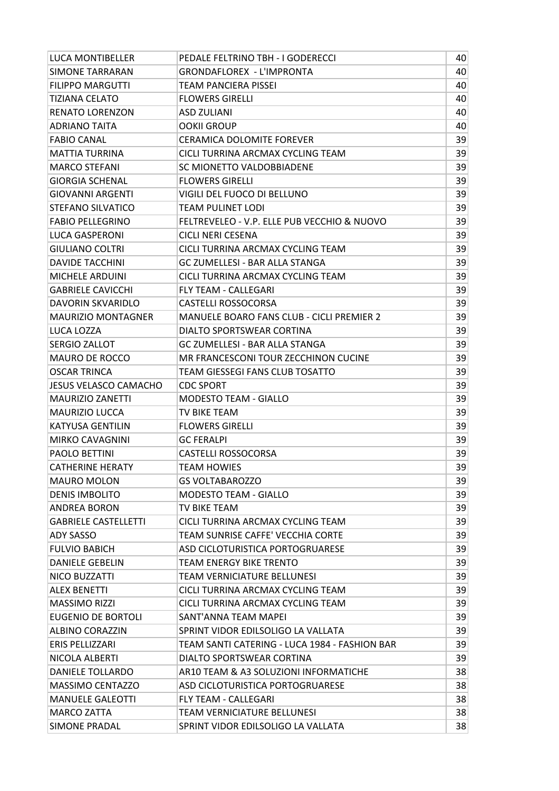| <b>LUCA MONTIBELLER</b>      | PEDALE FELTRINO TBH - I GODERECCI                | 40 |
|------------------------------|--------------------------------------------------|----|
| <b>SIMONE TARRARAN</b>       | <b>GRONDAFLOREX - L'IMPRONTA</b>                 | 40 |
| <b>FILIPPO MARGUTTI</b>      | <b>TEAM PANCIERA PISSEI</b>                      | 40 |
| <b>TIZIANA CELATO</b>        | <b>FLOWERS GIRELLI</b>                           | 40 |
| <b>RENATO LORENZON</b>       | <b>ASD ZULIANI</b>                               | 40 |
| <b>ADRIANO TAITA</b>         | <b>OOKII GROUP</b>                               | 40 |
| <b>FABIO CANAL</b>           | CERAMICA DOLOMITE FOREVER                        | 39 |
| <b>MATTIA TURRINA</b>        | CICLI TURRINA ARCMAX CYCLING TEAM                | 39 |
| <b>MARCO STEFANI</b>         | SC MIONETTO VALDOBBIADENE                        | 39 |
| <b>GIORGIA SCHENAL</b>       | <b>FLOWERS GIRELLI</b>                           | 39 |
| <b>GIOVANNI ARGENTI</b>      | VIGILI DEL FUOCO DI BELLUNO                      | 39 |
| STEFANO SILVATICO            | TEAM PULINET LODI                                | 39 |
| <b>FABIO PELLEGRINO</b>      | FELTREVELEO - V.P. ELLE PUB VECCHIO & NUOVO      | 39 |
| <b>LUCA GASPERONI</b>        | <b>CICLI NERI CESENA</b>                         | 39 |
| <b>GIULIANO COLTRI</b>       | CICLI TURRINA ARCMAX CYCLING TEAM                | 39 |
| <b>DAVIDE TACCHINI</b>       | <b>GC ZUMELLESI - BAR ALLA STANGA</b>            | 39 |
| <b>MICHELE ARDUINI</b>       | CICLI TURRINA ARCMAX CYCLING TEAM                | 39 |
| <b>GABRIELE CAVICCHI</b>     | <b>FLY TEAM - CALLEGARI</b>                      | 39 |
| DAVORIN SKVARIDLO            | CASTELLI ROSSOCORSA                              | 39 |
| <b>MAURIZIO MONTAGNER</b>    | <b>MANUELE BOARO FANS CLUB - CICLI PREMIER 2</b> | 39 |
| LUCA LOZZA                   | DIALTO SPORTSWEAR CORTINA                        | 39 |
| <b>SERGIO ZALLOT</b>         | GC ZUMELLESI - BAR ALLA STANGA                   | 39 |
| <b>MAURO DE ROCCO</b>        | MR FRANCESCONI TOUR ZECCHINON CUCINE             | 39 |
| <b>OSCAR TRINCA</b>          | TEAM GIESSEGI FANS CLUB TOSATTO                  | 39 |
| <b>JESUS VELASCO CAMACHO</b> | <b>CDC SPORT</b>                                 | 39 |
| <b>MAURIZIO ZANETTI</b>      | <b>MODESTO TEAM - GIALLO</b>                     | 39 |
| <b>MAURIZIO LUCCA</b>        | TV BIKE TEAM                                     | 39 |
| <b>KATYUSA GENTILIN</b>      | <b>FLOWERS GIRELLI</b>                           | 39 |
| <b>MIRKO CAVAGNINI</b>       | <b>GC FERALPI</b>                                | 39 |
| <b>PAOLO BETTINI</b>         | CASTELLI ROSSOCORSA                              | 39 |
| <b>CATHERINE HERATY</b>      | <b>TEAM HOWIES</b>                               | 39 |
| <b>MAURO MOLON</b>           | <b>GS VOLTABAROZZO</b>                           | 39 |
| <b>DENIS IMBOLITO</b>        | <b>MODESTO TEAM - GIALLO</b>                     | 39 |
| <b>ANDREA BORON</b>          | TV BIKE TEAM                                     | 39 |
| <b>GABRIELE CASTELLETTI</b>  | CICLI TURRINA ARCMAX CYCLING TEAM                | 39 |
| ADY SASSO                    | TEAM SUNRISE CAFFE' VECCHIA CORTE                | 39 |
| <b>FULVIO BABICH</b>         | ASD CICLOTURISTICA PORTOGRUARESE                 | 39 |
| DANIELE GEBELIN              | <b>TEAM ENERGY BIKE TRENTO</b>                   | 39 |
| NICO BUZZATTI                | <b>TEAM VERNICIATURE BELLUNESI</b>               | 39 |
| <b>ALEX BENETTI</b>          | CICLI TURRINA ARCMAX CYCLING TEAM                | 39 |
| <b>MASSIMO RIZZI</b>         | CICLI TURRINA ARCMAX CYCLING TEAM                | 39 |
| EUGENIO DE BORTOLI           | SANT'ANNA TEAM MAPEI                             | 39 |
| ALBINO CORAZZIN              | SPRINT VIDOR EDILSOLIGO LA VALLATA               | 39 |
| <b>ERIS PELLIZZARI</b>       | TEAM SANTI CATERING - LUCA 1984 - FASHION BAR    | 39 |
| NICOLA ALBERTI               | DIALTO SPORTSWEAR CORTINA                        | 39 |
| <b>DANIELE TOLLARDO</b>      | AR10 TEAM & A3 SOLUZIONI INFORMATICHE            | 38 |
| MASSIMO CENTAZZO             | ASD CICLOTURISTICA PORTOGRUARESE                 | 38 |
| <b>MANUELE GALEOTTI</b>      | <b>FLY TEAM - CALLEGARI</b>                      | 38 |
| <b>MARCO ZATTA</b>           | <b>TEAM VERNICIATURE BELLUNESI</b>               | 38 |
| SIMONE PRADAL                | SPRINT VIDOR EDILSOLIGO LA VALLATA               | 38 |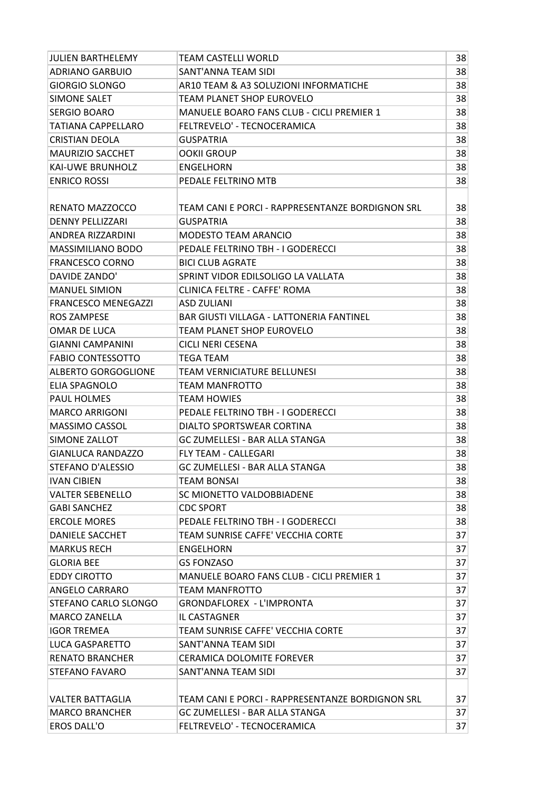| <b>JULIEN BARTHELEMY</b>   | TEAM CASTELLI WORLD                              | 38 |
|----------------------------|--------------------------------------------------|----|
| <b>ADRIANO GARBUIO</b>     | SANT'ANNA TEAM SIDI                              | 38 |
| <b>GIORGIO SLONGO</b>      | AR10 TEAM & A3 SOLUZIONI INFORMATICHE            | 38 |
| SIMONE SALET               | TEAM PLANET SHOP EUROVELO                        | 38 |
| <b>SERGIO BOARO</b>        | <b>MANUELE BOARO FANS CLUB - CICLI PREMIER 1</b> | 38 |
| TATIANA CAPPELLARO         | FELTREVELO' - TECNOCERAMICA                      | 38 |
| <b>CRISTIAN DEOLA</b>      | <b>GUSPATRIA</b>                                 | 38 |
| <b>MAURIZIO SACCHET</b>    | <b>OOKII GROUP</b>                               | 38 |
| KAI-UWE BRUNHOLZ           | <b>ENGELHORN</b>                                 | 38 |
| <b>ENRICO ROSSI</b>        | PEDALE FELTRINO MTB                              | 38 |
|                            |                                                  |    |
| RENATO MAZZOCCO            | TEAM CANI E PORCI - RAPPRESENTANZE BORDIGNON SRL | 38 |
| <b>DENNY PELLIZZARI</b>    | <b>GUSPATRIA</b>                                 | 38 |
| <b>ANDREA RIZZARDINI</b>   | <b>MODESTO TEAM ARANCIO</b>                      | 38 |
| <b>MASSIMILIANO BODO</b>   | PEDALE FELTRINO TBH - I GODERECCI                | 38 |
| <b>FRANCESCO CORNO</b>     | <b>BICI CLUB AGRATE</b>                          | 38 |
| DAVIDE ZANDO'              | SPRINT VIDOR EDILSOLIGO LA VALLATA               | 38 |
| <b>MANUEL SIMION</b>       | <b>CLINICA FELTRE - CAFFE' ROMA</b>              | 38 |
| <b>FRANCESCO MENEGAZZI</b> | <b>ASD ZULIANI</b>                               | 38 |
| <b>ROS ZAMPESE</b>         | <b>BAR GIUSTI VILLAGA - LATTONERIA FANTINEL</b>  | 38 |
| OMAR DE LUCA               | TEAM PLANET SHOP EUROVELO                        | 38 |
| <b>GIANNI CAMPANINI</b>    | CICLI NERI CESENA                                | 38 |
| <b>FABIO CONTESSOTTO</b>   | TEGA TEAM                                        | 38 |
| ALBERTO GORGOGLIONE        | TEAM VERNICIATURE BELLUNESI                      | 38 |
| ELIA SPAGNOLO              | TEAM MANFROTTO                                   | 38 |
| <b>PAUL HOLMES</b>         | <b>TEAM HOWIES</b>                               | 38 |
| <b>MARCO ARRIGONI</b>      | PEDALE FELTRINO TBH - I GODERECCI                | 38 |
| <b>MASSIMO CASSOL</b>      | <b>DIALTO SPORTSWEAR CORTINA</b>                 | 38 |
| SIMONE ZALLOT              | <b>GC ZUMELLESI - BAR ALLA STANGA</b>            | 38 |
| <b>GIANLUCA RANDAZZO</b>   | <b>FLY TEAM - CALLEGARI</b>                      | 38 |
| STEFANO D'ALESSIO          | <b>GC ZUMELLESI - BAR ALLA STANGA</b>            | 38 |
| <b>IVAN CIBIEN</b>         | <b>TEAM BONSAI</b>                               | 38 |
| <b>VALTER SEBENELLO</b>    | SC MIONETTO VALDOBBIADENE                        | 38 |
| <b>GABI SANCHEZ</b>        | <b>CDC SPORT</b>                                 | 38 |
| <b>ERCOLE MORES</b>        | PEDALE FELTRINO TBH - I GODERECCI                | 38 |
| <b>DANIELE SACCHET</b>     | TEAM SUNRISE CAFFE' VECCHIA CORTE                | 37 |
| <b>MARKUS RECH</b>         | ENGELHORN                                        | 37 |
| <b>GLORIA BEE</b>          | <b>GS FONZASO</b>                                | 37 |
| <b>EDDY CIROTTO</b>        | <b>MANUELE BOARO FANS CLUB - CICLI PREMIER 1</b> | 37 |
| ANGELO CARRARO             | <b>TEAM MANFROTTO</b>                            | 37 |
| STEFANO CARLO SLONGO       | <b>GRONDAFLOREX - L'IMPRONTA</b>                 | 37 |
| <b>MARCO ZANELLA</b>       | <b>IL CASTAGNER</b>                              | 37 |
| <b>IGOR TREMEA</b>         | TEAM SUNRISE CAFFE' VECCHIA CORTE                | 37 |
| <b>LUCA GASPARETTO</b>     | SANT'ANNA TEAM SIDI                              | 37 |
| <b>RENATO BRANCHER</b>     | <b>CERAMICA DOLOMITE FOREVER</b>                 | 37 |
| STEFANO FAVARO             | SANT'ANNA TEAM SIDI                              | 37 |
|                            |                                                  |    |
| <b>VALTER BATTAGLIA</b>    | TEAM CANI E PORCI - RAPPRESENTANZE BORDIGNON SRL | 37 |
| <b>MARCO BRANCHER</b>      | GC ZUMELLESI - BAR ALLA STANGA                   | 37 |
| <b>EROS DALL'O</b>         | FELTREVELO' - TECNOCERAMICA                      | 37 |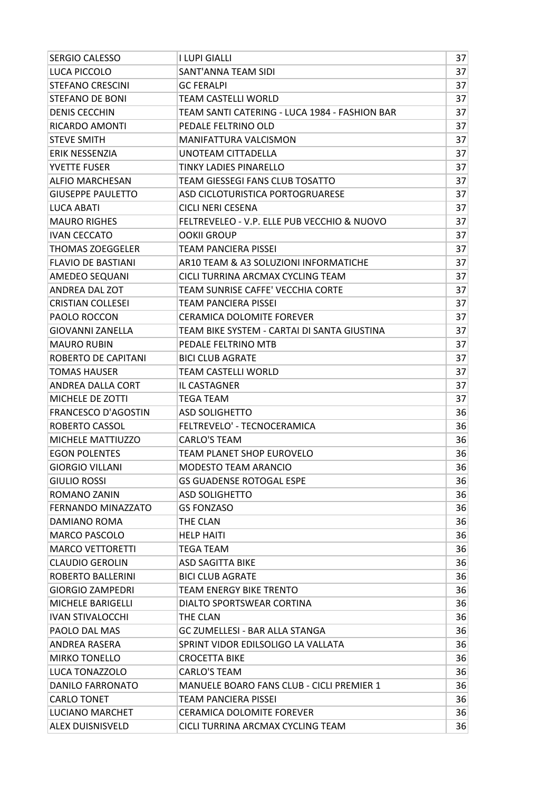| <b>SERGIO CALESSO</b>      | <b>I LUPI GIALLI</b>                          | 37 |
|----------------------------|-----------------------------------------------|----|
| LUCA PICCOLO               | <b>SANT'ANNA TEAM SIDI</b>                    | 37 |
| <b>STEFANO CRESCINI</b>    | <b>GC FERALPI</b>                             | 37 |
| <b>STEFANO DE BONI</b>     | <b>TEAM CASTELLI WORLD</b>                    | 37 |
| <b>DENIS CECCHIN</b>       | TEAM SANTI CATERING - LUCA 1984 - FASHION BAR | 37 |
| RICARDO AMONTI             | PEDALE FELTRINO OLD                           | 37 |
| <b>STEVE SMITH</b>         | <b>MANIFATTURA VALCISMON</b>                  | 37 |
| ERIK NESSENZIA             | UNOTEAM CITTADELLA                            | 37 |
| YVETTE FUSER               | <b>TINKY LADIES PINARELLO</b>                 | 37 |
| <b>ALFIO MARCHESAN</b>     | TEAM GIESSEGI FANS CLUB TOSATTO               | 37 |
| <b>GIUSEPPE PAULETTO</b>   | ASD CICLOTURISTICA PORTOGRUARESE              | 37 |
| LUCA ABATI                 | <b>CICLI NERI CESENA</b>                      | 37 |
| <b>MAURO RIGHES</b>        | FELTREVELEO - V.P. ELLE PUB VECCHIO & NUOVO   | 37 |
| <b>IVAN CECCATO</b>        | <b>OOKII GROUP</b>                            | 37 |
| <b>THOMAS ZOEGGELER</b>    | <b>TEAM PANCIERA PISSEI</b>                   | 37 |
| <b>FLAVIO DE BASTIANI</b>  | AR10 TEAM & A3 SOLUZIONI INFORMATICHE         | 37 |
| AMEDEO SEQUANI             | CICLI TURRINA ARCMAX CYCLING TEAM             | 37 |
| ANDREA DAL ZOT             | TEAM SUNRISE CAFFE' VECCHIA CORTE             | 37 |
| <b>CRISTIAN COLLESEI</b>   | <b>TEAM PANCIERA PISSEI</b>                   | 37 |
| PAOLO ROCCON               | <b>CERAMICA DOLOMITE FOREVER</b>              | 37 |
| <b>GIOVANNI ZANELLA</b>    | TEAM BIKE SYSTEM - CARTAI DI SANTA GIUSTINA   | 37 |
| <b>MAURO RUBIN</b>         | PEDALE FELTRINO MTB                           | 37 |
| ROBERTO DE CAPITANI        | <b>BICI CLUB AGRATE</b>                       | 37 |
| <b>TOMAS HAUSER</b>        | <b>TEAM CASTELLI WORLD</b>                    | 37 |
| ANDREA DALLA CORT          | <b>IL CASTAGNER</b>                           | 37 |
| MICHELE DE ZOTTI           | <b>TEGA TEAM</b>                              | 37 |
| <b>FRANCESCO D'AGOSTIN</b> | <b>ASD SOLIGHETTO</b>                         | 36 |
| ROBERTO CASSOL             | FELTREVELO' - TECNOCERAMICA                   | 36 |
| MICHELE MATTIUZZO          | <b>CARLO'S TEAM</b>                           | 36 |
| <b>EGON POLENTES</b>       | TEAM PLANET SHOP EUROVELO                     | 36 |
| <b>GIORGIO VILLANI</b>     | <b>MODESTO TEAM ARANCIO</b>                   | 36 |
| <b>GIULIO ROSSI</b>        | <b>GS GUADENSE ROTOGAL ESPE</b>               | 36 |
| ROMANO ZANIN               | <b>ASD SOLIGHETTO</b>                         | 36 |
| FERNANDO MINAZZATO         | <b>GS FONZASO</b>                             | 36 |
| DAMIANO ROMA               | THE CLAN                                      | 36 |
| <b>MARCO PASCOLO</b>       | <b>HELP HAITI</b>                             | 36 |
| <b>MARCO VETTORETTI</b>    | TEGA TEAM                                     | 36 |
| <b>CLAUDIO GEROLIN</b>     | <b>ASD SAGITTA BIKE</b>                       | 36 |
| ROBERTO BALLERINI          | <b>BICI CLUB AGRATE</b>                       | 36 |
| <b>GIORGIO ZAMPEDRI</b>    | <b>TEAM ENERGY BIKE TRENTO</b>                | 36 |
| <b>MICHELE BARIGELLI</b>   | DIALTO SPORTSWEAR CORTINA                     | 36 |
| <b>IVAN STIVALOCCHI</b>    | THE CLAN                                      | 36 |
| PAOLO DAL MAS              | GC ZUMELLESI - BAR ALLA STANGA                | 36 |
| ANDREA RASERA              | SPRINT VIDOR EDILSOLIGO LA VALLATA            | 36 |
| <b>MIRKO TONELLO</b>       | <b>CROCETTA BIKE</b>                          | 36 |
| LUCA TONAZZOLO             | <b>CARLO'S TEAM</b>                           | 36 |
| <b>DANILO FARRONATO</b>    | MANUELE BOARO FANS CLUB - CICLI PREMIER 1     | 36 |
| <b>CARLO TONET</b>         | TEAM PANCIERA PISSEI                          | 36 |
| LUCIANO MARCHET            | <b>CERAMICA DOLOMITE FOREVER</b>              | 36 |
| <b>ALEX DUISNISVELD</b>    | CICLI TURRINA ARCMAX CYCLING TEAM             | 36 |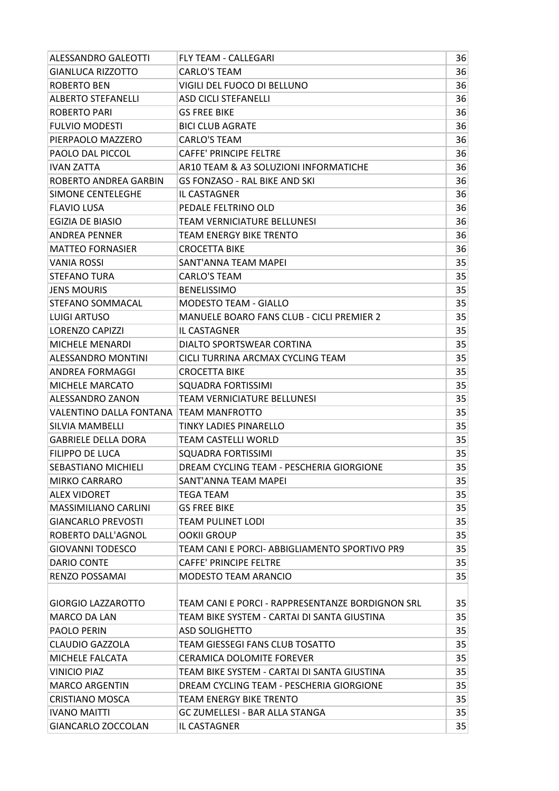| <b>ALESSANDRO GALEOTTI</b>  | <b>FLY TEAM - CALLEGARI</b>                      | 36 |
|-----------------------------|--------------------------------------------------|----|
| <b>GIANLUCA RIZZOTTO</b>    | <b>CARLO'S TEAM</b>                              | 36 |
| <b>ROBERTO BEN</b>          | VIGILI DEL FUOCO DI BELLUNO                      | 36 |
| <b>ALBERTO STEFANELLI</b>   | <b>ASD CICLI STEFANELLI</b>                      | 36 |
| <b>ROBERTO PARI</b>         | <b>GS FREE BIKE</b>                              | 36 |
| <b>FULVIO MODESTI</b>       | <b>BICI CLUB AGRATE</b>                          | 36 |
| PIERPAOLO MAZZERO           | <b>CARLO'S TEAM</b>                              | 36 |
| PAOLO DAL PICCOL            | <b>CAFFE' PRINCIPE FELTRE</b>                    | 36 |
| <b>IVAN ZATTA</b>           | AR10 TEAM & A3 SOLUZIONI INFORMATICHE            | 36 |
| ROBERTO ANDREA GARBIN       | <b>GS FONZASO - RAL BIKE AND SKI</b>             | 36 |
| SIMONE CENTELEGHE           | <b>IL CASTAGNER</b>                              | 36 |
| <b>FLAVIO LUSA</b>          | PEDALE FELTRINO OLD                              | 36 |
| <b>EGIZIA DE BIASIO</b>     | <b>TEAM VERNICIATURE BELLUNESI</b>               | 36 |
| <b>ANDREA PENNER</b>        | <b>TEAM ENERGY BIKE TRENTO</b>                   | 36 |
| <b>MATTEO FORNASIER</b>     | <b>CROCETTA BIKE</b>                             | 36 |
| <b>VANIA ROSSI</b>          | SANT'ANNA TEAM MAPEI                             | 35 |
| <b>STEFANO TURA</b>         | <b>CARLO'S TEAM</b>                              | 35 |
| <b>JENS MOURIS</b>          | <b>BENELISSIMO</b>                               | 35 |
| STEFANO SOMMACAL            | <b>MODESTO TEAM - GIALLO</b>                     | 35 |
| <b>LUIGI ARTUSO</b>         | MANUELE BOARO FANS CLUB - CICLI PREMIER 2        | 35 |
| <b>LORENZO CAPIZZI</b>      | <b>IL CASTAGNER</b>                              | 35 |
| <b>MICHELE MENARDI</b>      | DIALTO SPORTSWEAR CORTINA                        | 35 |
| ALESSANDRO MONTINI          | CICLI TURRINA ARCMAX CYCLING TEAM                | 35 |
| ANDREA FORMAGGI             | <b>CROCETTA BIKE</b>                             | 35 |
| <b>MICHELE MARCATO</b>      | <b>SQUADRA FORTISSIMI</b>                        | 35 |
| ALESSANDRO ZANON            | TEAM VERNICIATURE BELLUNESI                      | 35 |
| VALENTINO DALLA FONTANA     | <b>TEAM MANFROTTO</b>                            | 35 |
| <b>SILVIA MAMBELLI</b>      | <b>TINKY LADIES PINARELLO</b>                    | 35 |
| <b>GABRIELE DELLA DORA</b>  | TEAM CASTELLI WORLD                              | 35 |
| FILIPPO DE LUCA             | SQUADRA FORTISSIMI                               | 35 |
| SEBASTIANO MICHIELI         | DREAM CYCLING TEAM - PESCHERIA GIORGIONE         | 35 |
| <b>MIRKO CARRARO</b>        | SANT'ANNA TEAM MAPEI                             | 35 |
| <b>ALEX VIDORET</b>         | <b>TEGA TEAM</b>                                 | 35 |
| <b>MASSIMILIANO CARLINI</b> | <b>GS FREE BIKE</b>                              | 35 |
| <b>GIANCARLO PREVOSTI</b>   | <b>TEAM PULINET LODI</b>                         | 35 |
| ROBERTO DALL'AGNOL          | <b>OOKII GROUP</b>                               | 35 |
| <b>GIOVANNI TODESCO</b>     | TEAM CANI E PORCI- ABBIGLIAMENTO SPORTIVO PR9    | 35 |
| <b>DARIO CONTE</b>          | <b>CAFFE' PRINCIPE FELTRE</b>                    | 35 |
| RENZO POSSAMAI              | <b>MODESTO TEAM ARANCIO</b>                      | 35 |
|                             |                                                  |    |
| GIORGIO LAZZAROTTO          | TEAM CANI E PORCI - RAPPRESENTANZE BORDIGNON SRL | 35 |
| <b>MARCO DA LAN</b>         | TEAM BIKE SYSTEM - CARTAI DI SANTA GIUSTINA      | 35 |
| <b>PAOLO PERIN</b>          | <b>ASD SOLIGHETTO</b>                            | 35 |
| <b>CLAUDIO GAZZOLA</b>      | <b>TEAM GIESSEGI FANS CLUB TOSATTO</b>           | 35 |
| MICHELE FALCATA             | <b>CERAMICA DOLOMITE FOREVER</b>                 | 35 |
| <b>VINICIO PIAZ</b>         | TEAM BIKE SYSTEM - CARTAI DI SANTA GIUSTINA      | 35 |
| <b>MARCO ARGENTIN</b>       | DREAM CYCLING TEAM - PESCHERIA GIORGIONE         | 35 |
| CRISTIANO MOSCA             | TEAM ENERGY BIKE TRENTO                          | 35 |
| <b>IVANO MAITTI</b>         | <b>GC ZUMELLESI - BAR ALLA STANGA</b>            | 35 |
| GIANCARLO ZOCCOLAN          | IL CASTAGNER                                     | 35 |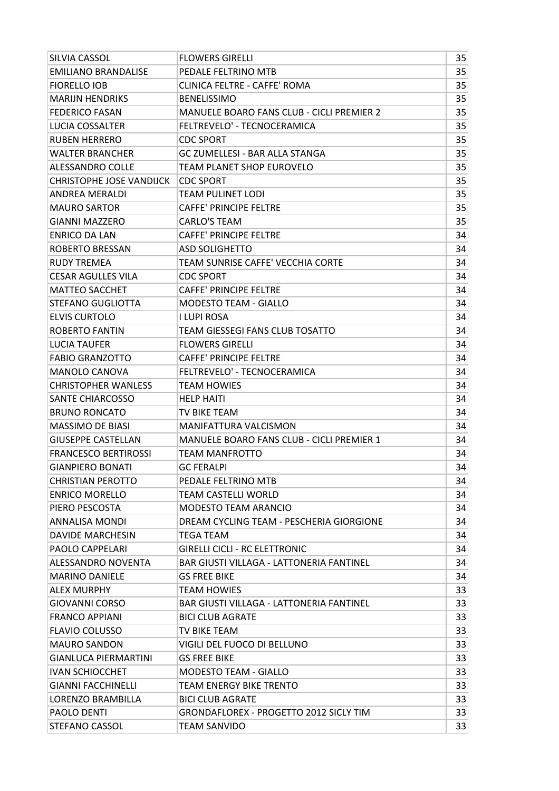| SILVIA CASSOL                   | <b>FLOWERS GIRELLI</b>                           | 35 |
|---------------------------------|--------------------------------------------------|----|
| <b>EMILIANO BRANDALISE</b>      | PEDALE FELTRINO MTB                              | 35 |
| <b>FIORELLO IOB</b>             | <b>CLINICA FELTRE - CAFFE' ROMA</b>              | 35 |
| <b>MARIJN HENDRIKS</b>          | <b>BENELISSIMO</b>                               | 35 |
| <b>FEDERICO FASAN</b>           | <b>MANUELE BOARO FANS CLUB - CICLI PREMIER 2</b> | 35 |
| LUCIA COSSALTER                 | FELTREVELO' - TECNOCERAMICA                      | 35 |
| <b>RUBEN HERRERO</b>            | <b>CDC SPORT</b>                                 | 35 |
| <b>WALTER BRANCHER</b>          | <b>GC ZUMELLESI - BAR ALLA STANGA</b>            | 35 |
| <b>ALESSANDRO COLLE</b>         | TEAM PLANET SHOP EUROVELO                        | 35 |
| <b>CHRISTOPHE JOSE VANDIJCK</b> | <b>CDC SPORT</b>                                 | 35 |
| <b>ANDREA MERALDI</b>           | TEAM PULINET LODI                                | 35 |
| <b>MAURO SARTOR</b>             | <b>CAFFE' PRINCIPE FELTRE</b>                    | 35 |
| <b>GIANNI MAZZERO</b>           | <b>CARLO'S TEAM</b>                              | 35 |
| <b>ENRICO DA LAN</b>            | <b>CAFFE' PRINCIPE FELTRE</b>                    | 34 |
| ROBERTO BRESSAN                 | <b>ASD SOLIGHETTO</b>                            | 34 |
| <b>RUDY TREMEA</b>              | TEAM SUNRISE CAFFE' VECCHIA CORTE                | 34 |
| <b>CESAR AGULLES VILA</b>       | <b>CDC SPORT</b>                                 | 34 |
| <b>MATTEO SACCHET</b>           | <b>CAFFE' PRINCIPE FELTRE</b>                    | 34 |
| STEFANO GUGLIOTTA               | <b>MODESTO TEAM - GIALLO</b>                     | 34 |
| <b>ELVIS CURTOLO</b>            | I LUPI ROSA                                      | 34 |
| <b>ROBERTO FANTIN</b>           | TEAM GIESSEGI FANS CLUB TOSATTO                  | 34 |
| <b>LUCIA TAUFER</b>             | <b>FLOWERS GIRELLI</b>                           | 34 |
| <b>FABIO GRANZOTTO</b>          | <b>CAFFE' PRINCIPE FELTRE</b>                    | 34 |
| <b>MANOLO CANOVA</b>            | FELTREVELO' - TECNOCERAMICA                      | 34 |
| <b>CHRISTOPHER WANLESS</b>      | <b>TEAM HOWIES</b>                               | 34 |
| SANTE CHIARCOSSO                | <b>HELP HAITI</b>                                | 34 |
| <b>BRUNO RONCATO</b>            | TV BIKE TEAM                                     | 34 |
| <b>MASSIMO DE BIASI</b>         | <b>MANIFATTURA VALCISMON</b>                     | 34 |
| <b>GIUSEPPE CASTELLAN</b>       | MANUELE BOARO FANS CLUB - CICLI PREMIER 1        | 34 |
| <b>FRANCESCO BERTIROSSI</b>     | TEAM MANFROTTO                                   | 34 |
| <b>GIANPIERO BONATI</b>         | <b>GC FERALPI</b>                                | 34 |
| <b>CHRISTIAN PEROTTO</b>        | PEDALE FELTRINO MTB                              | 34 |
| <b>ENRICO MORELLO</b>           | <b>TEAM CASTELLI WORLD</b>                       | 34 |
| PIERO PESCOSTA                  | <b>MODESTO TEAM ARANCIO</b>                      | 34 |
| <b>ANNALISA MONDI</b>           | DREAM CYCLING TEAM - PESCHERIA GIORGIONE         | 34 |
| <b>DAVIDE MARCHESIN</b>         | TEGA TEAM                                        | 34 |
| <b>PAOLO CAPPELARI</b>          | <b>GIRELLI CICLI - RC ELETTRONIC</b>             | 34 |
| ALESSANDRO NOVENTA              | <b>BAR GIUSTI VILLAGA - LATTONERIA FANTINEL</b>  | 34 |
| <b>MARINO DANIELE</b>           | <b>GS FREE BIKE</b>                              | 34 |
| <b>ALEX MURPHY</b>              | <b>TEAM HOWIES</b>                               | 33 |
| <b>GIOVANNI CORSO</b>           | BAR GIUSTI VILLAGA - LATTONERIA FANTINEL         | 33 |
| <b>FRANCO APPIANI</b>           | <b>BICI CLUB AGRATE</b>                          | 33 |
| <b>FLAVIO COLUSSO</b>           | TV BIKE TEAM                                     | 33 |
| <b>MAURO SANDON</b>             | VIGILI DEL FUOCO DI BELLUNO                      | 33 |
| GIANLUCA PIERMARTINI            | <b>GS FREE BIKE</b>                              | 33 |
| <b>IVAN SCHIOCCHET</b>          | <b>MODESTO TEAM - GIALLO</b>                     | 33 |
| <b>GIANNI FACCHINELLI</b>       | TEAM ENERGY BIKE TRENTO                          | 33 |
| LORENZO BRAMBILLA               | <b>BICI CLUB AGRATE</b>                          | 33 |
| PAOLO DENTI                     | <b>GRONDAFLOREX - PROGETTO 2012 SICLY TIM</b>    | 33 |
| STEFANO CASSOL                  | TEAM SANVIDO                                     | 33 |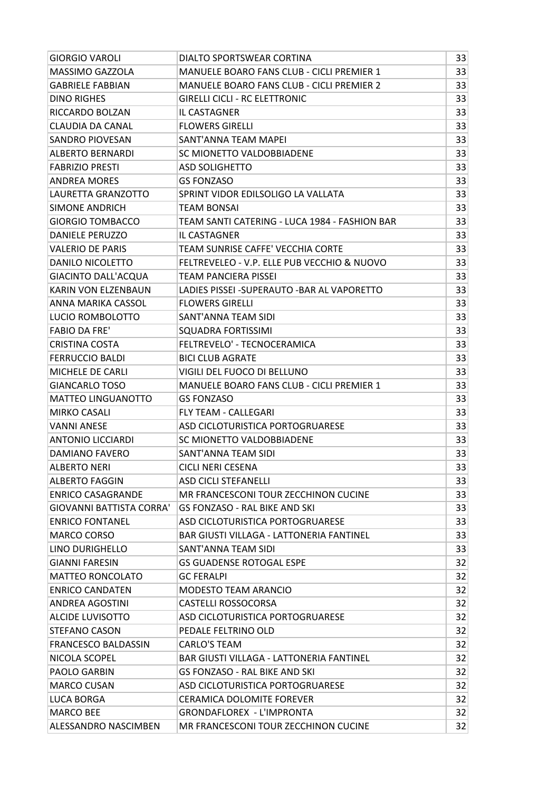| <b>GIORGIO VAROLI</b>           | DIALTO SPORTSWEAR CORTINA                        | 33 |
|---------------------------------|--------------------------------------------------|----|
| MASSIMO GAZZOLA                 | <b>MANUELE BOARO FANS CLUB - CICLI PREMIER 1</b> | 33 |
| <b>GABRIELE FABBIAN</b>         | MANUELE BOARO FANS CLUB - CICLI PREMIER 2        | 33 |
| <b>DINO RIGHES</b>              | <b>GIRELLI CICLI - RC ELETTRONIC</b>             | 33 |
| RICCARDO BOLZAN                 | <b>IL CASTAGNER</b>                              | 33 |
| CLAUDIA DA CANAL                | <b>FLOWERS GIRELLI</b>                           | 33 |
| SANDRO PIOVESAN                 | SANT'ANNA TEAM MAPEI                             | 33 |
| <b>ALBERTO BERNARDI</b>         | SC MIONETTO VALDOBBIADENE                        | 33 |
| <b>FABRIZIO PRESTI</b>          | <b>ASD SOLIGHETTO</b>                            | 33 |
| <b>ANDREA MORES</b>             | <b>GS FONZASO</b>                                | 33 |
| LAURETTA GRANZOTTO              | SPRINT VIDOR EDILSOLIGO LA VALLATA               | 33 |
| SIMONE ANDRICH                  | TEAM BONSAI                                      | 33 |
| <b>GIORGIO TOMBACCO</b>         | TEAM SANTI CATERING - LUCA 1984 - FASHION BAR    | 33 |
| <b>DANIELE PERUZZO</b>          | <b>IL CASTAGNER</b>                              | 33 |
| <b>VALERIO DE PARIS</b>         | TEAM SUNRISE CAFFE' VECCHIA CORTE                | 33 |
| <b>DANILO NICOLETTO</b>         | FELTREVELEO - V.P. ELLE PUB VECCHIO & NUOVO      | 33 |
| <b>GIACINTO DALL'ACQUA</b>      | TEAM PANCIERA PISSEI                             | 33 |
| KARIN VON ELZENBAUN             | LADIES PISSEI - SUPERAUTO - BAR AL VAPORETTO     | 33 |
| ANNA MARIKA CASSOL              | <b>FLOWERS GIRELLI</b>                           | 33 |
| LUCIO ROMBOLOTTO                | SANT'ANNA TEAM SIDI                              | 33 |
| <b>FABIO DA FRE'</b>            | <b>SQUADRA FORTISSIMI</b>                        | 33 |
| <b>CRISTINA COSTA</b>           | FELTREVELO' - TECNOCERAMICA                      | 33 |
| <b>FERRUCCIO BALDI</b>          | <b>BICI CLUB AGRATE</b>                          | 33 |
| MICHELE DE CARLI                | VIGILI DEL FUOCO DI BELLUNO                      | 33 |
| <b>GIANCARLO TOSO</b>           | MANUELE BOARO FANS CLUB - CICLI PREMIER 1        | 33 |
| <b>MATTEO LINGUANOTTO</b>       | <b>GS FONZASO</b>                                | 33 |
| <b>MIRKO CASALI</b>             | <b>FLY TEAM - CALLEGARI</b>                      | 33 |
| <b>VANNI ANESE</b>              | ASD CICLOTURISTICA PORTOGRUARESE                 | 33 |
| ANTONIO LICCIARDI               | SC MIONETTO VALDOBBIADENE                        | 33 |
| <b>DAMIANO FAVERO</b>           | SANT'ANNA TEAM SIDI                              | 33 |
| <b>ALBERTO NERI</b>             | CICLI NERI CESENA                                | 33 |
| <b>ALBERTO FAGGIN</b>           | <b>ASD CICLI STEFANELLI</b>                      | 33 |
| <b>ENRICO CASAGRANDE</b>        | MR FRANCESCONI TOUR ZECCHINON CUCINE             | 33 |
| <b>GIOVANNI BATTISTA CORRA'</b> | <b>GS FONZASO - RAL BIKE AND SKI</b>             | 33 |
| <b>ENRICO FONTANEL</b>          | ASD CICLOTURISTICA PORTOGRUARESE                 | 33 |
| <b>MARCO CORSO</b>              | <b>BAR GIUSTI VILLAGA - LATTONERIA FANTINEL</b>  | 33 |
| LINO DURIGHELLO                 | SANT'ANNA TEAM SIDI                              | 33 |
| <b>GIANNI FARESIN</b>           | <b>GS GUADENSE ROTOGAL ESPE</b>                  | 32 |
| <b>MATTEO RONCOLATO</b>         | <b>GC FERALPI</b>                                | 32 |
| <b>ENRICO CANDATEN</b>          | <b>MODESTO TEAM ARANCIO</b>                      | 32 |
| <b>ANDREA AGOSTINI</b>          | CASTELLI ROSSOCORSA                              | 32 |
| <b>ALCIDE LUVISOTTO</b>         | ASD CICLOTURISTICA PORTOGRUARESE                 | 32 |
| <b>STEFANO CASON</b>            | PEDALE FELTRINO OLD                              | 32 |
| <b>FRANCESCO BALDASSIN</b>      | <b>CARLO'S TEAM</b>                              | 32 |
| NICOLA SCOPEL                   | <b>BAR GIUSTI VILLAGA - LATTONERIA FANTINEL</b>  | 32 |
| PAOLO GARBIN                    | GS FONZASO - RAL BIKE AND SKI                    | 32 |
| <b>MARCO CUSAN</b>              | ASD CICLOTURISTICA PORTOGRUARESE                 | 32 |
| <b>LUCA BORGA</b>               | <b>CERAMICA DOLOMITE FOREVER</b>                 | 32 |
| <b>MARCO BEE</b>                | <b>GRONDAFLOREX - L'IMPRONTA</b>                 | 32 |
| ALESSANDRO NASCIMBEN            | MR FRANCESCONI TOUR ZECCHINON CUCINE             | 32 |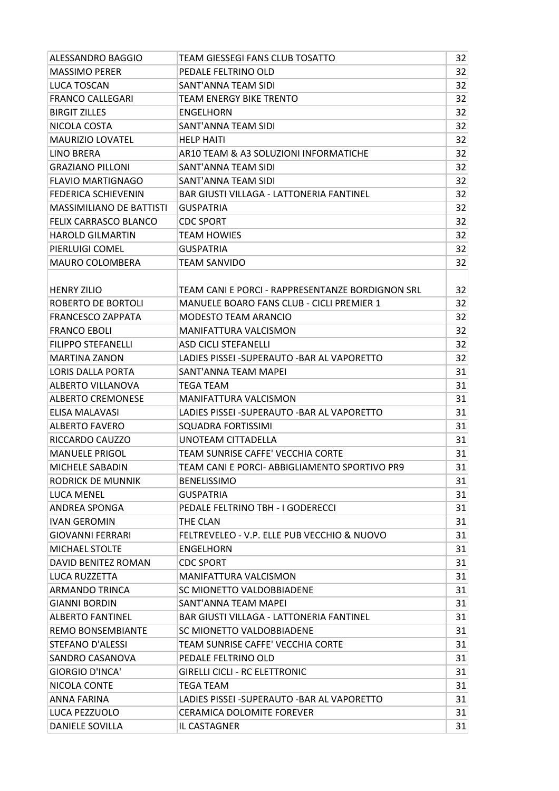| ALESSANDRO BAGGIO               | TEAM GIESSEGI FANS CLUB TOSATTO                  | 32 |
|---------------------------------|--------------------------------------------------|----|
| <b>MASSIMO PERER</b>            | PEDALE FELTRINO OLD                              | 32 |
| <b>LUCA TOSCAN</b>              | SANT'ANNA TEAM SIDI                              | 32 |
| <b>FRANCO CALLEGARI</b>         | TEAM ENERGY BIKE TRENTO                          | 32 |
| <b>BIRGIT ZILLES</b>            | <b>ENGELHORN</b>                                 | 32 |
| NICOLA COSTA                    | SANT'ANNA TEAM SIDI                              | 32 |
| <b>MAURIZIO LOVATEL</b>         | <b>HELP HAITI</b>                                | 32 |
| <b>LINO BRERA</b>               | AR10 TEAM & A3 SOLUZIONI INFORMATICHE            | 32 |
| <b>GRAZIANO PILLONI</b>         | SANT'ANNA TEAM SIDI                              | 32 |
| <b>FLAVIO MARTIGNAGO</b>        | <b>SANT'ANNA TEAM SIDI</b>                       | 32 |
| <b>FEDERICA SCHIEVENIN</b>      | <b>BAR GIUSTI VILLAGA - LATTONERIA FANTINEL</b>  | 32 |
| <b>MASSIMILIANO DE BATTISTI</b> | <b>GUSPATRIA</b>                                 | 32 |
| FELIX CARRASCO BLANCO           | <b>CDC SPORT</b>                                 | 32 |
| <b>HAROLD GILMARTIN</b>         | <b>TEAM HOWIES</b>                               | 32 |
| PIERLUIGI COMEL                 | <b>GUSPATRIA</b>                                 | 32 |
| MAURO COLOMBERA                 | <b>TEAM SANVIDO</b>                              | 32 |
|                                 |                                                  |    |
| <b>HENRY ZILIO</b>              | TEAM CANI E PORCI - RAPPRESENTANZE BORDIGNON SRL | 32 |
| ROBERTO DE BORTOLI              | <b>MANUELE BOARO FANS CLUB - CICLI PREMIER 1</b> | 32 |
| <b>FRANCESCO ZAPPATA</b>        | <b>MODESTO TEAM ARANCIO</b>                      | 32 |
| <b>FRANCO EBOLI</b>             | <b>MANIFATTURA VALCISMON</b>                     | 32 |
| <b>FILIPPO STEFANELLI</b>       | <b>ASD CICLI STEFANELLI</b>                      | 32 |
| <b>MARTINA ZANON</b>            | LADIES PISSEI - SUPERAUTO - BAR AL VAPORETTO     | 32 |
| <b>LORIS DALLA PORTA</b>        | SANT'ANNA TEAM MAPEI                             | 31 |
| ALBERTO VILLANOVA               | TEGA TEAM                                        | 31 |
| <b>ALBERTO CREMONESE</b>        | <b>MANIFATTURA VALCISMON</b>                     | 31 |
| ELISA MALAVASI                  | LADIES PISSEI - SUPERAUTO - BAR AL VAPORETTO     | 31 |
| <b>ALBERTO FAVERO</b>           | <b>SQUADRA FORTISSIMI</b>                        | 31 |
| RICCARDO CAUZZO                 | UNOTEAM CITTADELLA                               | 31 |
| <b>MANUELE PRIGOL</b>           | TEAM SUNRISE CAFFE' VECCHIA CORTE                | 31 |
| MICHELE SABADIN                 | TEAM CANI E PORCI- ABBIGLIAMENTO SPORTIVO PR9    | 31 |
| RODRICK DE MUNNIK               | <b>BENELISSIMO</b>                               | 31 |
| LUCA MENEL                      | <b>GUSPATRIA</b>                                 | 31 |
| ANDREA SPONGA                   | PEDALE FELTRINO TBH - I GODERECCI                | 31 |
| <b>IVAN GEROMIN</b>             | THE CLAN                                         | 31 |
| <b>GIOVANNI FERRARI</b>         | FELTREVELEO - V.P. ELLE PUB VECCHIO & NUOVO      | 31 |
| <b>MICHAEL STOLTE</b>           | ENGELHORN                                        | 31 |
| DAVID BENITEZ ROMAN             | <b>CDC SPORT</b>                                 | 31 |
| LUCA RUZZETTA                   | <b>MANIFATTURA VALCISMON</b>                     | 31 |
| <b>ARMANDO TRINCA</b>           | SC MIONETTO VALDOBBIADENE                        | 31 |
| <b>GIANNI BORDIN</b>            | SANT'ANNA TEAM MAPEI                             | 31 |
| <b>ALBERTO FANTINEL</b>         | <b>BAR GIUSTI VILLAGA - LATTONERIA FANTINEL</b>  | 31 |
| <b>REMO BONSEMBIANTE</b>        | SC MIONETTO VALDOBBIADENE                        | 31 |
| <b>STEFANO D'ALESSI</b>         | TEAM SUNRISE CAFFE' VECCHIA CORTE                | 31 |
| SANDRO CASANOVA                 | PEDALE FELTRINO OLD                              | 31 |
| <b>GIORGIO D'INCA'</b>          | <b>GIRELLI CICLI - RC ELETTRONIC</b>             | 31 |
| NICOLA CONTE                    | TEGA TEAM                                        | 31 |
| ANNA FARINA                     | LADIES PISSEI -SUPERAUTO -BAR AL VAPORETTO       | 31 |
| LUCA PEZZUOLO                   | <b>CERAMICA DOLOMITE FOREVER</b>                 | 31 |
|                                 |                                                  |    |
| DANIELE SOVILLA                 | IL CASTAGNER                                     | 31 |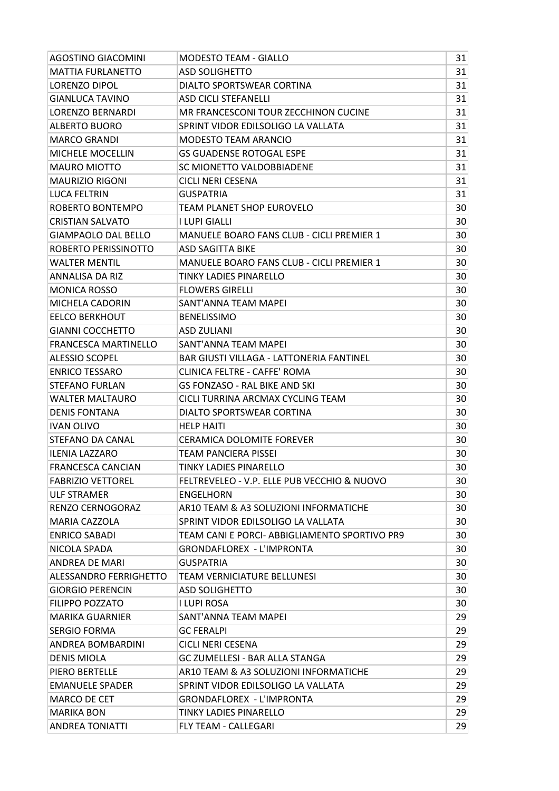| <b>AGOSTINO GIACOMINI</b>  | <b>MODESTO TEAM - GIALLO</b>                    | 31 |
|----------------------------|-------------------------------------------------|----|
| <b>MATTIA FURLANETTO</b>   | <b>ASD SOLIGHETTO</b>                           | 31 |
| LORENZO DIPOL              | DIALTO SPORTSWEAR CORTINA                       | 31 |
| <b>GIANLUCA TAVINO</b>     | <b>ASD CICLI STEFANELLI</b>                     | 31 |
| <b>LORENZO BERNARDI</b>    | MR FRANCESCONI TOUR ZECCHINON CUCINE            | 31 |
| <b>ALBERTO BUORO</b>       | SPRINT VIDOR EDILSOLIGO LA VALLATA              | 31 |
| <b>MARCO GRANDI</b>        | <b>MODESTO TEAM ARANCIO</b>                     | 31 |
| MICHELE MOCELLIN           | <b>GS GUADENSE ROTOGAL ESPE</b>                 | 31 |
| <b>MAURO MIOTTO</b>        | SC MIONETTO VALDOBBIADENE                       | 31 |
| <b>MAURIZIO RIGONI</b>     | <b>CICLI NERI CESENA</b>                        | 31 |
| <b>LUCA FELTRIN</b>        | <b>GUSPATRIA</b>                                | 31 |
| ROBERTO BONTEMPO           | TEAM PLANET SHOP EUROVELO                       | 30 |
| <b>CRISTIAN SALVATO</b>    | I LUPI GIALLI                                   | 30 |
| <b>GIAMPAOLO DAL BELLO</b> | MANUELE BOARO FANS CLUB - CICLI PREMIER 1       | 30 |
| ROBERTO PERISSINOTTO       | ASD SAGITTA BIKE                                | 30 |
| <b>WALTER MENTIL</b>       | MANUELE BOARO FANS CLUB - CICLI PREMIER 1       | 30 |
| ANNALISA DA RIZ            | TINKY LADIES PINARELLO                          | 30 |
| <b>MONICA ROSSO</b>        | <b>FLOWERS GIRELLI</b>                          | 30 |
| MICHELA CADORIN            | SANT'ANNA TEAM MAPEI                            | 30 |
| <b>EELCO BERKHOUT</b>      | <b>BENELISSIMO</b>                              | 30 |
| <b>GIANNI COCCHETTO</b>    | <b>ASD ZULIANI</b>                              | 30 |
| FRANCESCA MARTINELLO       | SANT'ANNA TEAM MAPEI                            | 30 |
| <b>ALESSIO SCOPEL</b>      | <b>BAR GIUSTI VILLAGA - LATTONERIA FANTINEL</b> | 30 |
| <b>ENRICO TESSARO</b>      | <b>CLINICA FELTRE - CAFFE' ROMA</b>             | 30 |
| <b>STEFANO FURLAN</b>      | GS FONZASO - RAL BIKE AND SKI                   | 30 |
| <b>WALTER MALTAURO</b>     | CICLI TURRINA ARCMAX CYCLING TEAM               | 30 |
| <b>DENIS FONTANA</b>       | DIALTO SPORTSWEAR CORTINA                       | 30 |
| <b>IVAN OLIVO</b>          | <b>HELP HAITI</b>                               | 30 |
| STEFANO DA CANAL           | <b>CERAMICA DOLOMITE FOREVER</b>                | 30 |
| <b>ILENIA LAZZARO</b>      | TEAM PANCIERA PISSEI                            | 30 |
| <b>FRANCESCA CANCIAN</b>   | TINKY LADIES PINARELLO                          | 30 |
| <b>FABRIZIO VETTOREL</b>   | FELTREVELEO - V.P. ELLE PUB VECCHIO & NUOVO     | 30 |
| <b>ULF STRAMER</b>         | <b>ENGELHORN</b>                                | 30 |
| RENZO CERNOGORAZ           | AR10 TEAM & A3 SOLUZIONI INFORMATICHE           | 30 |
| <b>MARIA CAZZOLA</b>       | SPRINT VIDOR EDILSOLIGO LA VALLATA              | 30 |
| <b>ENRICO SABADI</b>       | TEAM CANI E PORCI- ABBIGLIAMENTO SPORTIVO PR9   | 30 |
| NICOLA SPADA               | GRONDAFLOREX - L'IMPRONTA                       | 30 |
| ANDREA DE MARI             | <b>GUSPATRIA</b>                                | 30 |
| ALESSANDRO FERRIGHETTO     | TEAM VERNICIATURE BELLUNESI                     | 30 |
| <b>GIORGIO PERENCIN</b>    | <b>ASD SOLIGHETTO</b>                           | 30 |
| <b>FILIPPO POZZATO</b>     | I LUPI ROSA                                     | 30 |
| <b>MARIKA GUARNIER</b>     | SANT'ANNA TEAM MAPEI                            | 29 |
| <b>SERGIO FORMA</b>        | <b>GC FERALPI</b>                               | 29 |
| ANDREA BOMBARDINI          | CICLI NERI CESENA                               | 29 |
| <b>DENIS MIOLA</b>         | <b>GC ZUMELLESI - BAR ALLA STANGA</b>           | 29 |
| <b>PIERO BERTELLE</b>      | AR10 TEAM & A3 SOLUZIONI INFORMATICHE           | 29 |
| <b>EMANUELE SPADER</b>     | SPRINT VIDOR EDILSOLIGO LA VALLATA              | 29 |
| MARCO DE CET               | <b>GRONDAFLOREX - L'IMPRONTA</b>                | 29 |
| <b>MARIKA BON</b>          | TINKY LADIES PINARELLO                          | 29 |
| <b>ANDREA TONIATTI</b>     | FLY TEAM - CALLEGARI                            | 29 |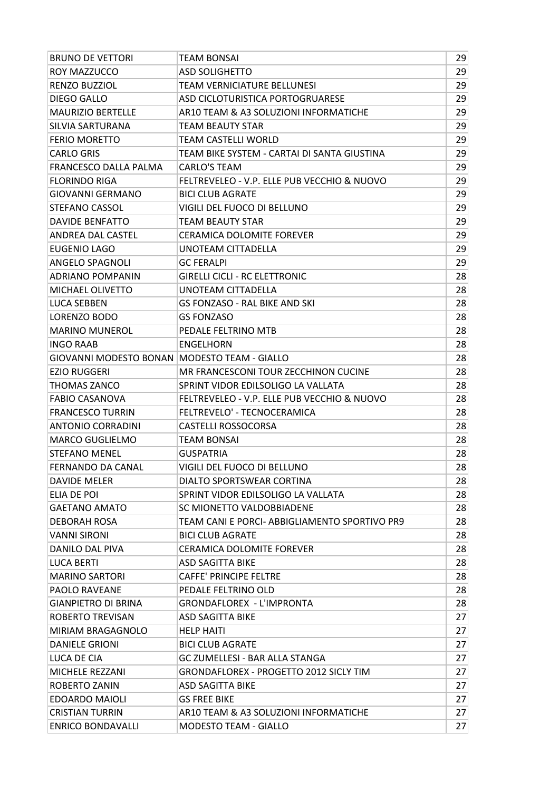| <b>BRUNO DE VETTORI</b>                        | <b>TEAM BONSAI</b>                            | 29 |
|------------------------------------------------|-----------------------------------------------|----|
| ROY MAZZUCCO                                   | <b>ASD SOLIGHETTO</b>                         | 29 |
| RENZO BUZZIOL                                  | <b>TEAM VERNICIATURE BELLUNESI</b>            | 29 |
| <b>DIEGO GALLO</b>                             | ASD CICLOTURISTICA PORTOGRUARESE              | 29 |
| <b>MAURIZIO BERTELLE</b>                       | AR10 TEAM & A3 SOLUZIONI INFORMATICHE         | 29 |
| SILVIA SARTURANA                               | TEAM BEAUTY STAR                              | 29 |
| <b>FERIO MORETTO</b>                           | TEAM CASTELLI WORLD                           | 29 |
| <b>CARLO GRIS</b>                              | TEAM BIKE SYSTEM - CARTAI DI SANTA GIUSTINA   | 29 |
| <b>FRANCESCO DALLA PALMA</b>                   | <b>CARLO'S TEAM</b>                           | 29 |
| <b>FLORINDO RIGA</b>                           | FELTREVELEO - V.P. ELLE PUB VECCHIO & NUOVO   | 29 |
| <b>GIOVANNI GERMANO</b>                        | <b>BICI CLUB AGRATE</b>                       | 29 |
| STEFANO CASSOL                                 | VIGILI DEL FUOCO DI BELLUNO                   | 29 |
| <b>DAVIDE BENFATTO</b>                         | <b>TEAM BEAUTY STAR</b>                       | 29 |
| ANDREA DAL CASTEL                              | CERAMICA DOLOMITE FOREVER                     | 29 |
| EUGENIO LAGO                                   | UNOTEAM CITTADELLA                            | 29 |
| ANGELO SPAGNOLI                                | <b>GC FERALPI</b>                             | 29 |
| <b>ADRIANO POMPANIN</b>                        | <b>GIRELLI CICLI - RC ELETTRONIC</b>          | 28 |
| MICHAEL OLIVETTO                               | UNOTEAM CITTADELLA                            | 28 |
| <b>LUCA SEBBEN</b>                             | <b>GS FONZASO - RAL BIKE AND SKI</b>          | 28 |
| LORENZO BODO                                   | <b>GS FONZASO</b>                             | 28 |
| <b>MARINO MUNEROL</b>                          | PEDALE FELTRINO MTB                           | 28 |
| <b>INGO RAAB</b>                               | <b>ENGELHORN</b>                              | 28 |
| GIOVANNI MODESTO BONAN   MODESTO TEAM - GIALLO |                                               | 28 |
| <b>EZIO RUGGERI</b>                            | MR FRANCESCONI TOUR ZECCHINON CUCINE          | 28 |
| THOMAS ZANCO                                   | SPRINT VIDOR EDILSOLIGO LA VALLATA            | 28 |
| <b>FABIO CASANOVA</b>                          | FELTREVELEO - V.P. ELLE PUB VECCHIO & NUOVO   | 28 |
| <b>FRANCESCO TURRIN</b>                        | FELTREVELO' - TECNOCERAMICA                   | 28 |
| <b>ANTONIO CORRADINI</b>                       | <b>CASTELLI ROSSOCORSA</b>                    | 28 |
| <b>MARCO GUGLIELMO</b>                         | <b>TEAM BONSAI</b>                            | 28 |
| <b>STEFANO MENEL</b>                           | <b>GUSPATRIA</b>                              | 28 |
| <b>FERNANDO DA CANAL</b>                       | VIGILI DEL FUOCO DI BELLUNO                   | 28 |
| DAVIDE MELER                                   | DIALTO SPORTSWEAR CORTINA                     | 28 |
| ELIA DE POI                                    | SPRINT VIDOR EDILSOLIGO LA VALLATA            | 28 |
| <b>GAETANO AMATO</b>                           | SC MIONETTO VALDOBBIADENE                     | 28 |
| <b>DEBORAH ROSA</b>                            | TEAM CANI E PORCI- ABBIGLIAMENTO SPORTIVO PR9 | 28 |
| <b>VANNI SIRONI</b>                            | <b>BICI CLUB AGRATE</b>                       | 28 |
| DANILO DAL PIVA                                | <b>CERAMICA DOLOMITE FOREVER</b>              | 28 |
| LUCA BERTI                                     | <b>ASD SAGITTA BIKE</b>                       | 28 |
| <b>MARINO SARTORI</b>                          | <b>CAFFE' PRINCIPE FELTRE</b>                 | 28 |
| <b>PAOLO RAVEANE</b>                           | PEDALE FELTRINO OLD                           | 28 |
| <b>GIANPIETRO DI BRINA</b>                     | <b>GRONDAFLOREX - L'IMPRONTA</b>              | 28 |
| <b>ROBERTO TREVISAN</b>                        | <b>ASD SAGITTA BIKE</b>                       | 27 |
| <b>MIRIAM BRAGAGNOLO</b>                       | <b>HELP HAITI</b>                             | 27 |
| <b>DANIELE GRIONI</b>                          | <b>BICI CLUB AGRATE</b>                       | 27 |
| LUCA DE CIA                                    | <b>GC ZUMELLESI - BAR ALLA STANGA</b>         | 27 |
| MICHELE REZZANI                                | <b>GRONDAFLOREX - PROGETTO 2012 SICLY TIM</b> | 27 |
| ROBERTO ZANIN                                  | <b>ASD SAGITTA BIKE</b>                       | 27 |
| <b>EDOARDO MAIOLI</b>                          | <b>GS FREE BIKE</b>                           | 27 |
| <b>CRISTIAN TURRIN</b>                         | AR10 TEAM & A3 SOLUZIONI INFORMATICHE         | 27 |
| <b>ENRICO BONDAVALLI</b>                       |                                               | 27 |
|                                                | <b>MODESTO TEAM - GIALLO</b>                  |    |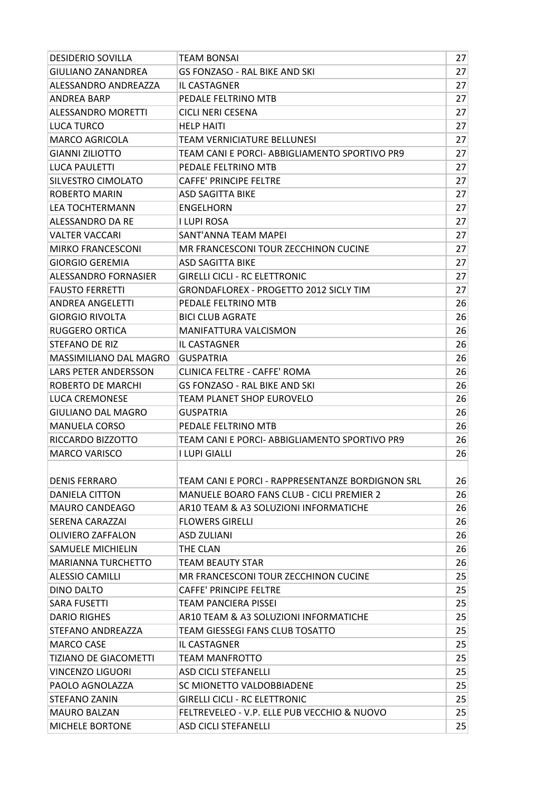| <b>DESIDERIO SOVILLA</b>     | TEAM BONSAI                                                                | 27 |
|------------------------------|----------------------------------------------------------------------------|----|
| <b>GIULIANO ZANANDREA</b>    | <b>GS FONZASO - RAL BIKE AND SKI</b>                                       | 27 |
| ALESSANDRO ANDREAZZA         | <b>IL CASTAGNER</b>                                                        | 27 |
| <b>ANDREA BARP</b>           | PEDALE FELTRINO MTB                                                        | 27 |
| <b>ALESSANDRO MORETTI</b>    | <b>CICLI NERI CESENA</b>                                                   | 27 |
| LUCA TURCO                   | <b>HELP HAITI</b>                                                          | 27 |
| <b>MARCO AGRICOLA</b>        | TEAM VERNICIATURE BELLUNESI                                                | 27 |
| <b>GIANNI ZILIOTTO</b>       | TEAM CANI E PORCI- ABBIGLIAMENTO SPORTIVO PR9                              | 27 |
| <b>LUCA PAULETTI</b>         | PEDALE FELTRINO MTB                                                        | 27 |
| SILVESTRO CIMOLATO           | <b>CAFFE' PRINCIPE FELTRE</b>                                              | 27 |
| <b>ROBERTO MARIN</b>         | ASD SAGITTA BIKE                                                           | 27 |
| LEA TOCHTERMANN              | <b>ENGELHORN</b>                                                           | 27 |
| ALESSANDRO DA RE             | I LUPI ROSA                                                                | 27 |
| <b>VALTER VACCARI</b>        | SANT'ANNA TEAM MAPEI                                                       | 27 |
| <b>MIRKO FRANCESCONI</b>     | MR FRANCESCONI TOUR ZECCHINON CUCINE                                       | 27 |
| <b>GIORGIO GEREMIA</b>       | <b>ASD SAGITTA BIKE</b>                                                    | 27 |
| ALESSANDRO FORNASIER         | <b>GIRELLI CICLI - RC ELETTRONIC</b>                                       | 27 |
| <b>FAUSTO FERRETTI</b>       | <b>GRONDAFLOREX - PROGETTO 2012 SICLY TIM</b>                              | 27 |
| <b>ANDREA ANGELETTI</b>      | PEDALE FELTRINO MTB                                                        | 26 |
| <b>GIORGIO RIVOLTA</b>       | <b>BICI CLUB AGRATE</b>                                                    | 26 |
| <b>RUGGERO ORTICA</b>        | <b>MANIFATTURA VALCISMON</b>                                               | 26 |
| STEFANO DE RIZ               | <b>IL CASTAGNER</b>                                                        | 26 |
| MASSIMILIANO DAL MAGRO       | <b>GUSPATRIA</b>                                                           | 26 |
| LARS PETER ANDERSSON         | <b>CLINICA FELTRE - CAFFE' ROMA</b>                                        | 26 |
| ROBERTO DE MARCHI            | GS FONZASO - RAL BIKE AND SKI                                              | 26 |
| LUCA CREMONESE               | TEAM PLANET SHOP EUROVELO                                                  | 26 |
| GIULIANO DAL MAGRO           | <b>GUSPATRIA</b>                                                           | 26 |
|                              |                                                                            |    |
| <b>MANUELA CORSO</b>         | PEDALE FELTRINO MTB                                                        | 26 |
| RICCARDO BIZZOTTO            | TEAM CANI E PORCI- ABBIGLIAMENTO SPORTIVO PR9                              | 26 |
| <b>MARCO VARISCO</b>         | I LUPI GIALLI                                                              | 26 |
|                              |                                                                            |    |
| <b>DENIS FERRARO</b>         | TEAM CANI E PORCI - RAPPRESENTANZE BORDIGNON SRL                           | 26 |
| DANIELA CITTON               | <b>MANUELE BOARO FANS CLUB - CICLI PREMIER 2</b>                           | 26 |
| <b>MAURO CANDEAGO</b>        | AR10 TEAM & A3 SOLUZIONI INFORMATICHE                                      | 26 |
| <b>SERENA CARAZZAI</b>       | <b>FLOWERS GIRELLI</b>                                                     | 26 |
| <b>OLIVIERO ZAFFALON</b>     | <b>ASD ZULIANI</b>                                                         | 26 |
| <b>SAMUELE MICHIELIN</b>     | THE CLAN                                                                   | 26 |
| <b>MARIANNA TURCHETTO</b>    | TEAM BEAUTY STAR                                                           | 26 |
| <b>ALESSIO CAMILLI</b>       | MR FRANCESCONI TOUR ZECCHINON CUCINE                                       | 25 |
| <b>DINO DALTO</b>            | <b>CAFFE' PRINCIPE FELTRE</b>                                              | 25 |
| <b>SARA FUSETTI</b>          | TEAM PANCIERA PISSEI                                                       | 25 |
| <b>DARIO RIGHES</b>          | AR10 TEAM & A3 SOLUZIONI INFORMATICHE                                      | 25 |
| STEFANO ANDREAZZA            | TEAM GIESSEGI FANS CLUB TOSATTO                                            | 25 |
| <b>MARCO CASE</b>            | IL CASTAGNER                                                               | 25 |
| <b>TIZIANO DE GIACOMETTI</b> | TEAM MANFROTTO                                                             | 25 |
| VINCENZO LIGUORI             | <b>ASD CICLI STEFANELLI</b>                                                | 25 |
| <b>PAOLO AGNOLAZZA</b>       | SC MIONETTO VALDOBBIADENE                                                  | 25 |
| <b>STEFANO ZANIN</b>         | <b>GIRELLI CICLI - RC ELETTRONIC</b>                                       | 25 |
| <b>MAURO BALZAN</b>          | FELTREVELEO - V.P. ELLE PUB VECCHIO & NUOVO<br><b>ASD CICLI STEFANELLI</b> | 25 |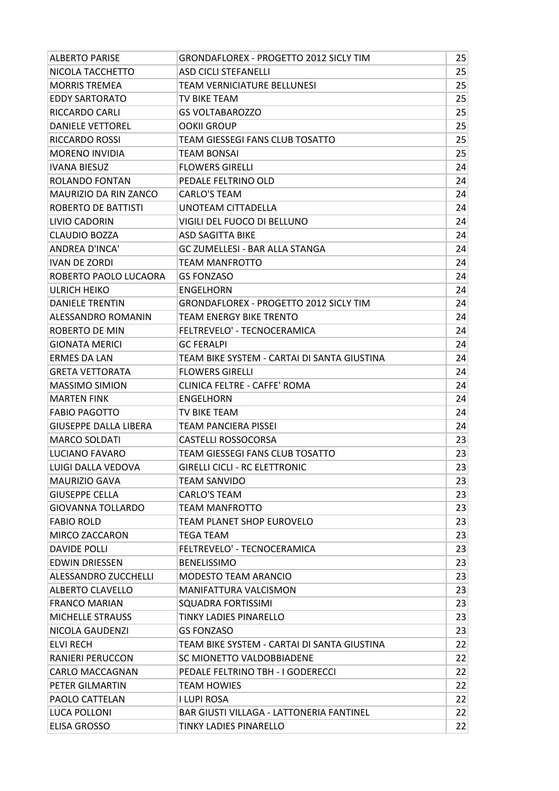| <b>ALBERTO PARISE</b>        | <b>GRONDAFLOREX - PROGETTO 2012 SICLY TIM</b>   | 25 |
|------------------------------|-------------------------------------------------|----|
| NICOLA TACCHETTO             | <b>ASD CICLI STEFANELLI</b>                     | 25 |
| <b>MORRIS TREMEA</b>         | TEAM VERNICIATURE BELLUNESI                     | 25 |
| <b>EDDY SARTORATO</b>        | TV BIKE TEAM                                    | 25 |
| RICCARDO CARLI               | <b>GS VOLTABAROZZO</b>                          | 25 |
| <b>DANIELE VETTOREL</b>      | <b>OOKII GROUP</b>                              | 25 |
| RICCARDO ROSSI               | TEAM GIESSEGI FANS CLUB TOSATTO                 | 25 |
| <b>MORENO INVIDIA</b>        | TEAM BONSAI                                     | 25 |
| <b>IVANA BIESUZ</b>          | <b>FLOWERS GIRELLI</b>                          | 24 |
| ROLANDO FONTAN               | PEDALE FELTRINO OLD                             | 24 |
| <b>MAURIZIO DA RIN ZANCO</b> | <b>CARLO'S TEAM</b>                             | 24 |
| ROBERTO DE BATTISTI          | UNOTEAM CITTADELLA                              | 24 |
| LIVIO CADORIN                | VIGILI DEL FUOCO DI BELLUNO                     | 24 |
| <b>CLAUDIO BOZZA</b>         | ASD SAGITTA BIKE                                | 24 |
| <b>ANDREA D'INCA'</b>        | GC ZUMELLESI - BAR ALLA STANGA                  | 24 |
| <b>IVAN DE ZORDI</b>         | <b>TEAM MANFROTTO</b>                           | 24 |
| ROBERTO PAOLO LUCAORA        | <b>GS FONZASO</b>                               | 24 |
| <b>ULRICH HEIKO</b>          | <b>ENGELHORN</b>                                | 24 |
| <b>DANIELE TRENTIN</b>       | <b>GRONDAFLOREX - PROGETTO 2012 SICLY TIM</b>   | 24 |
| ALESSANDRO ROMANIN           | TEAM ENERGY BIKE TRENTO                         | 24 |
| ROBERTO DE MIN               | FELTREVELO' - TECNOCERAMICA                     | 24 |
| <b>GIONATA MERICI</b>        | <b>GC FERALPI</b>                               | 24 |
| <b>ERMES DA LAN</b>          | TEAM BIKE SYSTEM - CARTAI DI SANTA GIUSTINA     | 24 |
| <b>GRETA VETTORATA</b>       | <b>FLOWERS GIRELLI</b>                          | 24 |
| <b>MASSIMO SIMION</b>        | CLINICA FELTRE - CAFFE' ROMA                    | 24 |
| <b>MARTEN FINK</b>           | <b>ENGELHORN</b>                                | 24 |
| <b>FABIO PAGOTTO</b>         | TV BIKE TEAM                                    | 24 |
| <b>GIUSEPPE DALLA LIBERA</b> | TEAM PANCIERA PISSEI                            | 24 |
| <b>MARCO SOLDATI</b>         | <b>CASTELLI ROSSOCORSA</b>                      | 23 |
| <b>LUCIANO FAVARO</b>        | TEAM GIESSEGI FANS CLUB TOSATTO                 | 23 |
| LUIGI DALLA VEDOVA           | <b>GIRELLI CICLI - RC ELETTRONIC</b>            | 23 |
| <b>MAURIZIO GAVA</b>         | TEAM SANVIDO                                    | 23 |
| <b>GIUSEPPE CELLA</b>        | <b>CARLO'S TEAM</b>                             | 23 |
| <b>GIOVANNA TOLLARDO</b>     | TEAM MANFROTTO                                  | 23 |
| <b>FABIO ROLD</b>            | <b>TEAM PLANET SHOP EUROVELO</b>                | 23 |
| MIRCO ZACCARON               | <b>TEGA TEAM</b>                                | 23 |
| DAVIDE POLLI                 | FELTREVELO' - TECNOCERAMICA                     | 23 |
| <b>EDWIN DRIESSEN</b>        | <b>BENELISSIMO</b>                              | 23 |
| ALESSANDRO ZUCCHELLI         | <b>MODESTO TEAM ARANCIO</b>                     | 23 |
| <b>ALBERTO CLAVELLO</b>      | <b>MANIFATTURA VALCISMON</b>                    | 23 |
| <b>FRANCO MARIAN</b>         | SQUADRA FORTISSIMI                              | 23 |
| <b>MICHELLE STRAUSS</b>      | TINKY LADIES PINARELLO                          | 23 |
| NICOLA GAUDENZI              | <b>GS FONZASO</b>                               | 23 |
| ELVI RECH                    | TEAM BIKE SYSTEM - CARTAI DI SANTA GIUSTINA     | 22 |
| <b>RANIERI PERUCCON</b>      | SC MIONETTO VALDOBBIADENE                       | 22 |
| <b>CARLO MACCAGNAN</b>       | PEDALE FELTRINO TBH - I GODERECCI               | 22 |
| PETER GILMARTIN              | TEAM HOWIES                                     | 22 |
| <b>PAOLO CATTELAN</b>        | I LUPI ROSA                                     | 22 |
| LUCA POLLONI                 | <b>BAR GIUSTI VILLAGA - LATTONERIA FANTINEL</b> | 22 |
| <b>ELISA GROSSO</b>          | TINKY LADIES PINARELLO                          | 22 |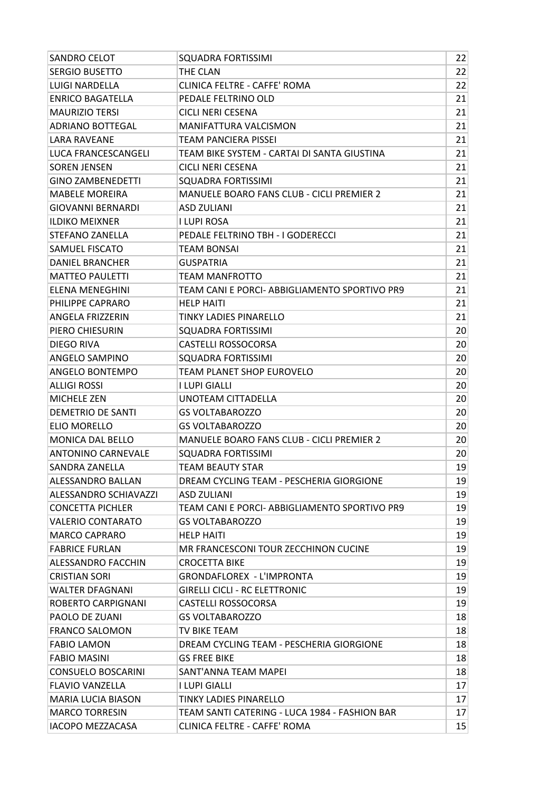| <b>SANDRO CELOT</b>          | <b>SQUADRA FORTISSIMI</b>                        | 22 |
|------------------------------|--------------------------------------------------|----|
| <b>SERGIO BUSETTO</b>        | THE CLAN                                         | 22 |
| <b>LUIGI NARDELLA</b>        | <b>CLINICA FELTRE - CAFFE' ROMA</b>              | 22 |
| <b>ENRICO BAGATELLA</b>      | PEDALE FELTRINO OLD                              | 21 |
| <b>MAURIZIO TERSI</b>        | <b>CICLI NERI CESENA</b>                         | 21 |
| <b>ADRIANO BOTTEGAL</b>      | <b>MANIFATTURA VALCISMON</b>                     | 21 |
| <b>LARA RAVEANE</b>          | <b>TEAM PANCIERA PISSEI</b>                      | 21 |
| LUCA FRANCESCANGELI          | TEAM BIKE SYSTEM - CARTAI DI SANTA GIUSTINA      | 21 |
| <b>SOREN JENSEN</b>          | <b>CICLI NERI CESENA</b>                         | 21 |
| <b>GINO ZAMBENEDETTI</b>     | SQUADRA FORTISSIMI                               | 21 |
| <b>MABELE MOREIRA</b>        | <b>MANUELE BOARO FANS CLUB - CICLI PREMIER 2</b> | 21 |
| <b>GIOVANNI BERNARDI</b>     | <b>ASD ZULIANI</b>                               | 21 |
| <b>ILDIKO MEIXNER</b>        | I LUPI ROSA                                      | 21 |
| <b>STEFANO ZANELLA</b>       | PEDALE FELTRINO TBH - I GODERECCI                | 21 |
| <b>SAMUEL FISCATO</b>        | TEAM BONSAI                                      | 21 |
| <b>DANIEL BRANCHER</b>       | <b>GUSPATRIA</b>                                 | 21 |
| <b>MATTEO PAULETTI</b>       | TEAM MANFROTTO                                   | 21 |
| <b>ELENA MENEGHINI</b>       | TEAM CANI E PORCI- ABBIGLIAMENTO SPORTIVO PR9    | 21 |
| PHILIPPE CAPRARO             | <b>HELP HAITI</b>                                | 21 |
| <b>ANGELA FRIZZERIN</b>      | TINKY LADIES PINARELLO                           | 21 |
| PIERO CHIESURIN              | <b>SQUADRA FORTISSIMI</b>                        | 20 |
| <b>DIEGO RIVA</b>            | <b>CASTELLI ROSSOCORSA</b>                       | 20 |
| <b>ANGELO SAMPINO</b>        | <b>SQUADRA FORTISSIMI</b>                        | 20 |
| ANGELO BONTEMPO              | TEAM PLANET SHOP EUROVELO                        | 20 |
| <b>ALLIGI ROSSI</b>          | I LUPI GIALLI                                    | 20 |
| <b>MICHELE ZEN</b>           | UNOTEAM CITTADELLA                               | 20 |
| <b>DEMETRIO DE SANTI</b>     | <b>GS VOLTABAROZZO</b>                           | 20 |
| <b>ELIO MORELLO</b>          | <b>GS VOLTABAROZZO</b>                           | 20 |
| <b>MONICA DAL BELLO</b>      | <b>MANUELE BOARO FANS CLUB - CICLI PREMIER 2</b> | 20 |
| ANTONINO CARNEVALE           | <b>SQUADRA FORTISSIMI</b>                        | 20 |
| SANDRA ZANELLA               | TEAM BEAUTY STAR                                 | 19 |
| <b>ALESSANDRO BALLAN</b>     | DREAM CYCLING TEAM - PESCHERIA GIORGIONE         | 19 |
| <b>ALESSANDRO SCHIAVAZZI</b> | ASD ZULIANI                                      | 19 |
| <b>CONCETTA PICHLER</b>      | TEAM CANI E PORCI- ABBIGLIAMENTO SPORTIVO PR9    | 19 |
| <b>VALERIO CONTARATO</b>     | <b>GS VOLTABAROZZO</b>                           | 19 |
| <b>MARCO CAPRARO</b>         | <b>HELP HAITI</b>                                | 19 |
| <b>FABRICE FURLAN</b>        | MR FRANCESCONI TOUR ZECCHINON CUCINE             | 19 |
| <b>ALESSANDRO FACCHIN</b>    | <b>CROCETTA BIKE</b>                             | 19 |
| <b>CRISTIAN SORI</b>         | <b>GRONDAFLOREX - L'IMPRONTA</b>                 | 19 |
| <b>WALTER DFAGNANI</b>       | <b>GIRELLI CICLI - RC ELETTRONIC</b>             | 19 |
| ROBERTO CARPIGNANI           | <b>CASTELLI ROSSOCORSA</b>                       | 19 |
| <b>PAOLO DE ZUANI</b>        | <b>GS VOLTABAROZZO</b>                           | 18 |
| <b>FRANCO SALOMON</b>        | TV BIKE TEAM                                     | 18 |
| <b>FABIO LAMON</b>           | DREAM CYCLING TEAM - PESCHERIA GIORGIONE         | 18 |
| <b>FABIO MASINI</b>          | <b>GS FREE BIKE</b>                              | 18 |
| <b>CONSUELO BOSCARINI</b>    | SANT'ANNA TEAM MAPEI                             | 18 |
| <b>FLAVIO VANZELLA</b>       | I LUPI GIALLI                                    | 17 |
| <b>MARIA LUCIA BIASON</b>    | TINKY LADIES PINARELLO                           | 17 |
| <b>MARCO TORRESIN</b>        | TEAM SANTI CATERING - LUCA 1984 - FASHION BAR    | 17 |
| <b>IACOPO MEZZACASA</b>      | CLINICA FELTRE - CAFFE' ROMA                     | 15 |